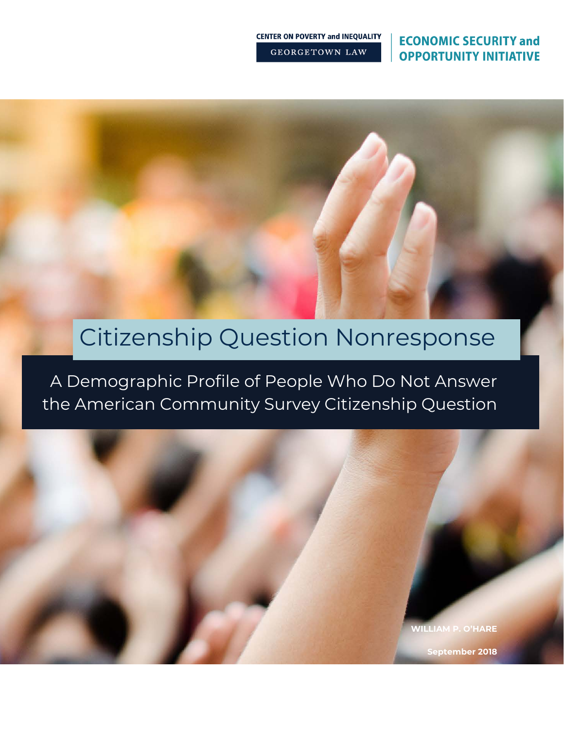### **ECONOMIC SECURITY and OPPORTUNITY INITIATIVE**

**CENTER ON POVERTY and INEQUALITY GEORGETOWN LAW** 

# Citizenship Question Nonresponse

A Demographic Profile of People Who Do Not Answer the American Community Survey Citizenship Question

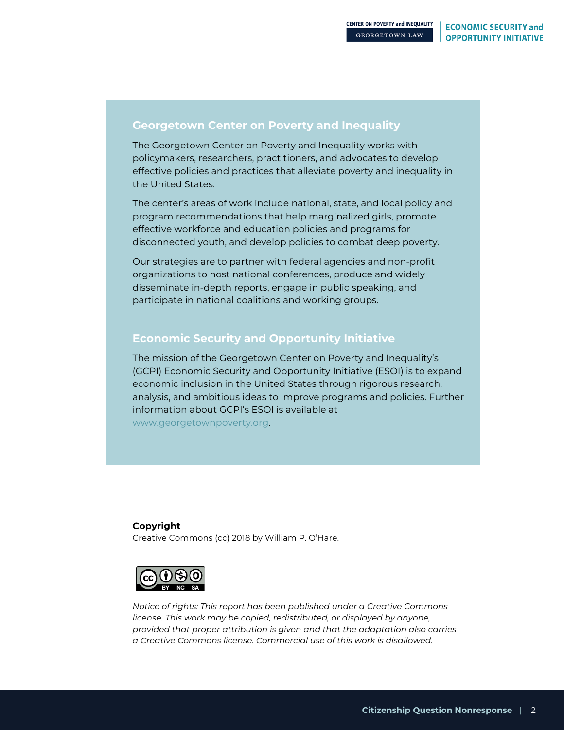### **Georgetown Center on Poverty and Inequality**

The Georgetown Center on Poverty and Inequality works with policymakers, researchers, practitioners, and advocates to develop effective policies and practices that alleviate poverty and inequality in the United States.

The center's areas of work include national, state, and local policy and program recommendations that help marginalized girls, promote effective workforce and education policies and programs for disconnected youth, and develop policies to combat deep poverty.

Our strategies are to partner with federal agencies and non-profit organizations to host national conferences, produce and widely disseminate in-depth reports, engage in public speaking, and participate in national coalitions and working groups.

### **Economic Security and Opportunity Initiative**

The mission of the Georgetown Center on Poverty and Inequality's (GCPI) Economic Security and Opportunity Initiative (ESOI) is to expand economic inclusion in the United States through rigorous research, analysis, and ambitious ideas to improve programs and policies. Further information about GCPI's ESOI is available at www.georgetownpoverty.org.

### **Copyright**

Creative Commons (cc) 2018 by William P. O'Hare.



*Notice of rights: This report has been published under a Creative Commons license. This work may be copied, redistributed, or displayed by anyone, provided that proper attribution is given and that the adaptation also carries a Creative Commons license. Commercial use of this work is disallowed.*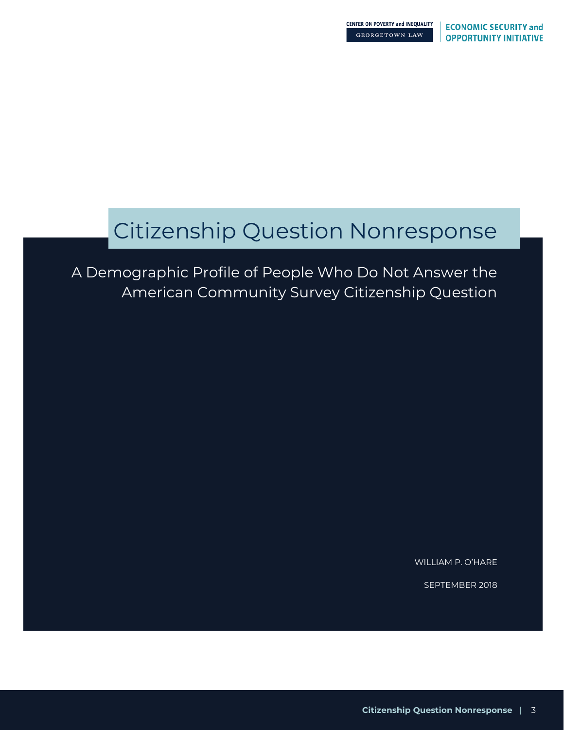# Citizenship Question Nonresponse

A Demographic Profile of People Who Do Not Answer the American Community Survey Citizenship Question

WILLIAM P. O'HARE

SEPTEMBER 2018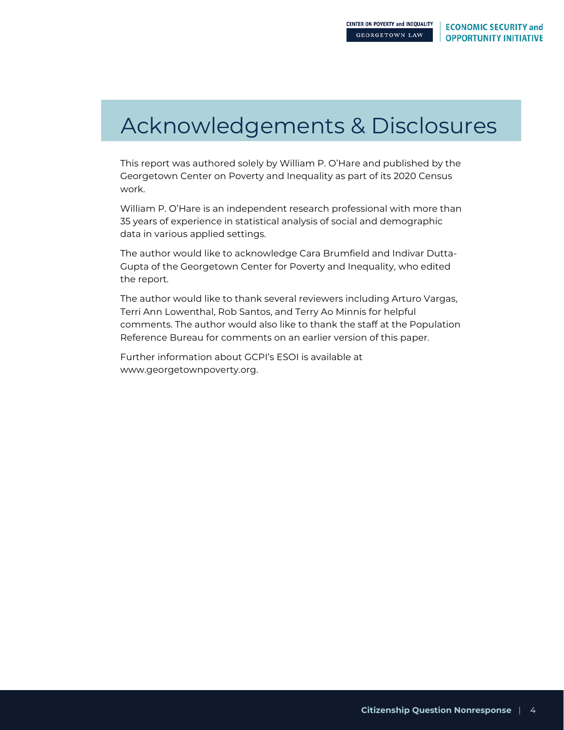# Acknowledgements & Disclosures

This report was authored solely by William P. O'Hare and published by the Georgetown Center on Poverty and Inequality as part of its 2020 Census work.

William P. O'Hare is an independent research professional with more than 35 years of experience in statistical analysis of social and demographic data in various applied settings.

The author would like to acknowledge Cara Brumfield and Indivar Dutta-Gupta of the Georgetown Center for Poverty and Inequality, who edited the report.

The author would like to thank several reviewers including Arturo Vargas, Terri Ann Lowenthal, Rob Santos, and Terry Ao Minnis for helpful comments. The author would also like to thank the staff at the Population Reference Bureau for comments on an earlier version of this paper.

Further information about GCPI's ESOI is available at www.georgetownpoverty.org.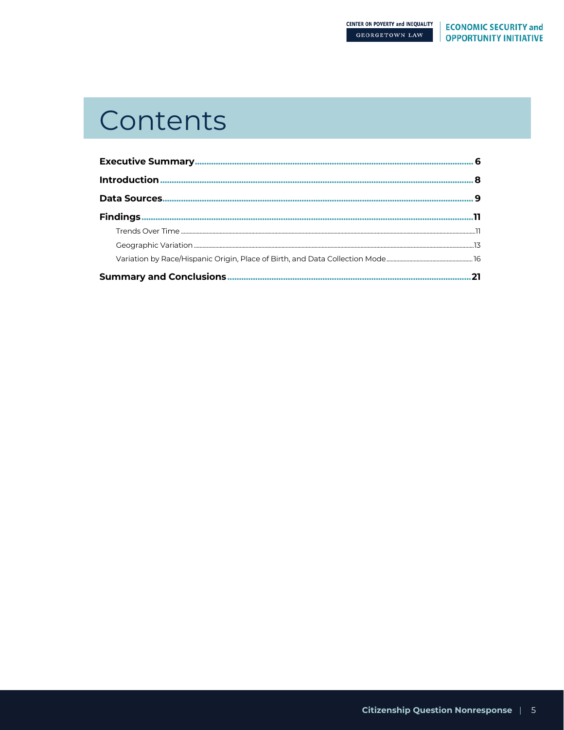# Contents

|                                 | я |
|---------------------------------|---|
|                                 |   |
|                                 |   |
|                                 |   |
|                                 |   |
|                                 |   |
| <b>Summary and Conclusions.</b> |   |
|                                 |   |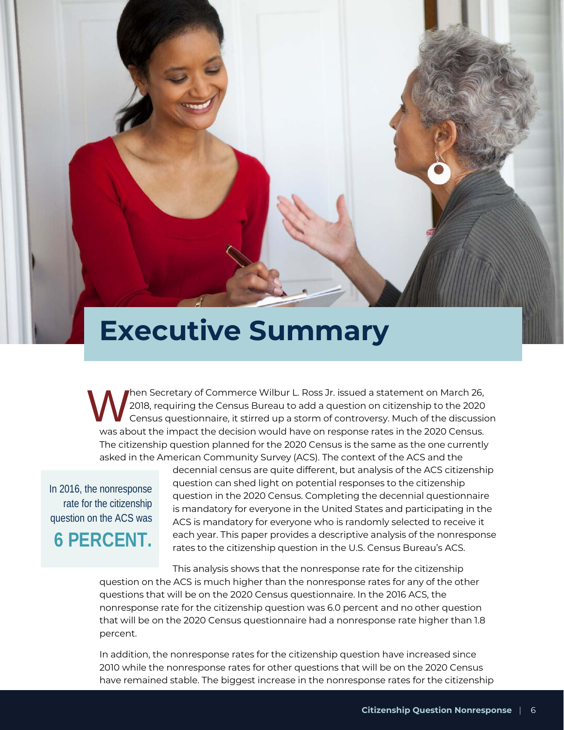# **Executive Summary**

hen Secretary of Commerce Wilbur L. Ross Jr. issued a statement on March 26, 2018, requiring the Census Bureau to add a question on citizenship to the 2020 Census questionnaire, it stirred up a storm of controversy. Much of the discussion was about the impact the decision would have on response rates in the 2020 Census. The citizenship question planned for the 2020 Census is the same as the one currently asked in the American Community Survey (ACS). The context of the ACS and the W<sub>wasa</sub>

In 2016, the nonresponse rate for the citizenship question on the ACS was

**6 PERCENT.**

decennial census are quite different, but analysis of the ACS citizenship question can shed light on potential responses to the citizenship question in the 2020 Census. Completing the decennial questionnaire is mandatory for everyone in the United States and participating in the ACS is mandatory for everyone who is randomly selected to receive it each year. This paper provides a descriptive analysis of the nonresponse rates to the citizenship question in the U.S. Census Bureau's ACS.

This analysis shows that the nonresponse rate for the citizenship question on the ACS is much higher than the nonresponse rates for any of the other questions that will be on the 2020 Census questionnaire. In the 2016 ACS, the nonresponse rate for the citizenship question was 6.0 percent and no other question that will be on the 2020 Census questionnaire had a nonresponse rate higher than 1.8 percent.

In addition, the nonresponse rates for the citizenship question have increased since 2010 while the nonresponse rates for other questions that will be on the 2020 Census have remained stable. The biggest increase in the nonresponse rates for the citizenship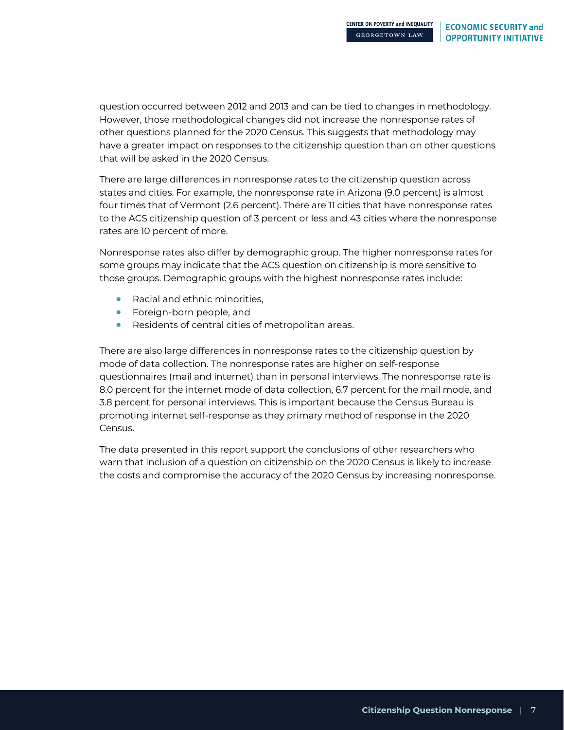question occurred between 2012 and 2013 and can be tied to changes in methodology. However, those methodological changes did not increase the nonresponse rates of other questions planned for the 2020 Census. This suggests that methodology may have a greater impact on responses to the citizenship question than on other questions that will be asked in the 2020 Census.

There are large differences in nonresponse rates to the citizenship question across states and cities. For example, the nonresponse rate in Arizona (9.0 percent) is almost four times that of Vermont (2.6 percent). There are 11 cities that have nonresponse rates to the ACS citizenship question of 3 percent or less and 43 cities where the nonresponse rates are 10 percent of more.

Nonresponse rates also differ by demographic group. The higher nonresponse rates for some groups may indicate that the ACS question on citizenship is more sensitive to those groups. Demographic groups with the highest nonresponse rates include:

- Racial and ethnic minorities,
- Foreign-born people, and
- Residents of central cities of metropolitan areas.

There are also large differences in nonresponse rates to the citizenship question by mode of data collection. The nonresponse rates are higher on self-response questionnaires (mail and internet) than in personal interviews. The nonresponse rate is 8.0 percent for the internet mode of data collection, 6.7 percent for the mail mode, and 3.8 percent for personal interviews. This is important because the Census Bureau is promoting internet self-response as they primary method of response in the 2020 Census.

The data presented in this report support the conclusions of other researchers who warn that inclusion of a question on citizenship on the 2020 Census is likely to increase the costs and compromise the accuracy of the 2020 Census by increasing nonresponse.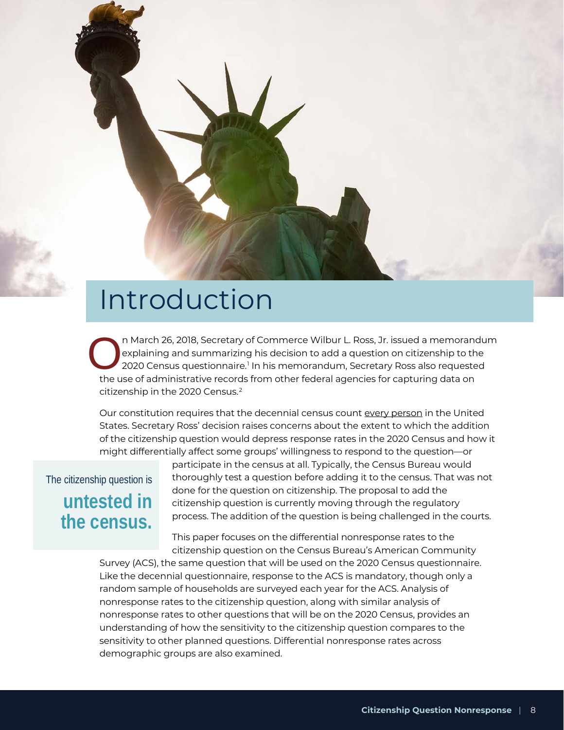

n March 26, 2018, Secretary of Commerce Wilbur L. Ross, Jr. issued a memorandum explaining and summarizing his decision to add a question on citizenship to the 2020 Census questionnaire.<sup>[1](#page-32-0)</sup> In his memorandum, Secretary Ross also requested the use of administrative records from other federal agencies for capturing data on citizenship in the [2](#page-32-1)020 Census.<sup>2</sup> O<sub>the u</sub>

Our constitution requires that the decennial census count every person in the United States. Secretary Ross' decision raises concerns about the extent to which the addition of the citizenship question would depress response rates in the 2020 Census and how it might differentially affect some groups' willingness to respond to the question—or

## The citizenship question is **untested in the census.**

participate in the census at all. Typically, the Census Bureau would thoroughly test a question before adding it to the census. That was not done for the question on citizenship. The proposal to add the citizenship question is currently moving through the regulatory process. The addition of the question is being challenged in the courts.

This paper focuses on the differential nonresponse rates to the citizenship question on the Census Bureau's American Community

Survey (ACS), the same question that will be used on the 2020 Census questionnaire. Like the decennial questionnaire, response to the ACS is mandatory, though only a random sample of households are surveyed each year for the ACS. Analysis of nonresponse rates to the citizenship question, along with similar analysis of nonresponse rates to other questions that will be on the 2020 Census, provides an understanding of how the sensitivity to the citizenship question compares to the sensitivity to other planned questions. Differential nonresponse rates across demographic groups are also examined.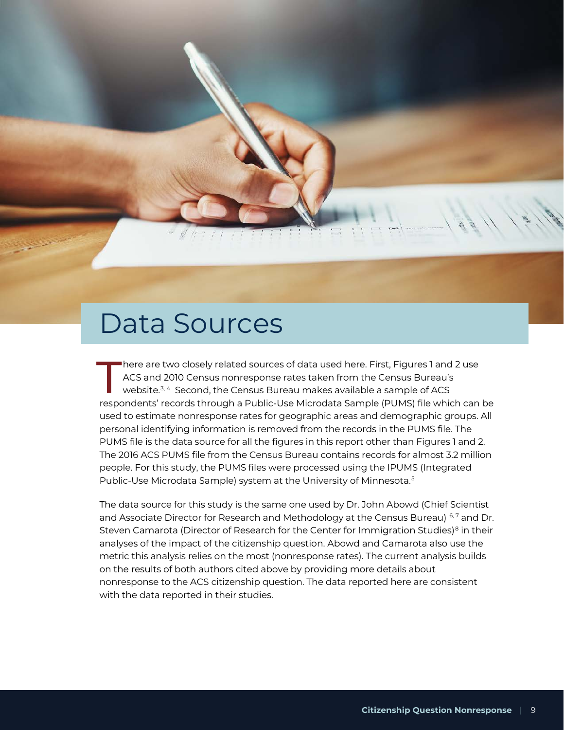# Data Sources

here are two closely related sources of data used here. First, Figures 1 and 2 use ACS and 2010 Census nonresponse rates taken from the Census Bureau's website.<sup>[3,](#page-32-2) 4</sup> Second, the Census Bureau makes available a sample of ACS There are two closely related sources of data used here. First, Figures 1 and 2 use<br>ACS and 2010 Census nonresponse rates taken from the Census Bureau's<br>website.<sup>3,4</sup> Second, the Census Bureau makes available a sample of A used to estimate nonresponse rates for geographic areas and demographic groups. All personal identifying information is removed from the records in the PUMS file. The PUMS file is the data source for all the figures in this report other than Figures 1 and 2. The 2016 ACS PUMS file from the Census Bureau contains records for almost 3.2 million people. For this study, the PUMS files were processed using the IPUMS (Integrated Public-Use Microdata Sample) system at the University of Minnesota.[5](#page-32-4)

The data source for this study is the same one used by Dr. John Abowd (Chief Scientist and Associate Director for Research and Methodology at the Census Bureau)  $6.7$  $6.7$  and Dr. Steven Camarota (Director of Research for the Center for Immigration Studies)<sup>[8](#page-32-7)</sup> in their analyses of the impact of the citizenship question. Abowd and Camarota also use the metric this analysis relies on the most (nonresponse rates). The current analysis builds on the results of both authors cited above by providing more details about nonresponse to the ACS citizenship question. The data reported here are consistent with the data reported in their studies.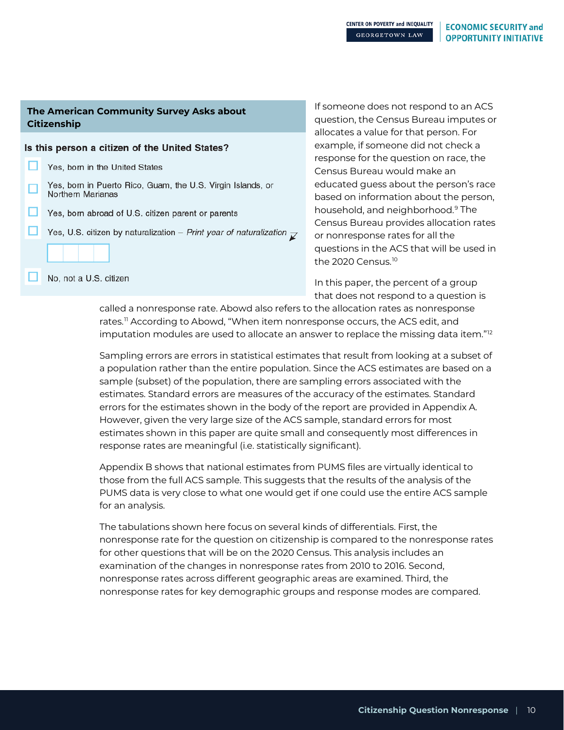### **The American Community Survey Asks about Citizenship**

|   | Is this person a citizen of the United States?                                              |
|---|---------------------------------------------------------------------------------------------|
|   | Yes, born in the United States                                                              |
| ш | Yes, born in Puerto Rico, Guam, the U.S. Virgin Islands, or<br><b>Northern Marianas</b>     |
|   | Yes, born abroad of U.S. citizen parent or parents                                          |
|   | Yes, U.S. citizen by naturalization – Print year of naturalization $\overline{\mathcal{V}}$ |
|   |                                                                                             |
|   | No, not a U.S. citizen                                                                      |
|   |                                                                                             |

If someone does not respond to an ACS question, the Census Bureau imputes or allocates a value for that person. For example, if someone did not check a response for the question on race, the Census Bureau would make an educated guess about the person's race based on information about the person, household, and neighborhood.[9](#page-32-8) The Census Bureau provides allocation rates or nonresponse rates for all the questions in the ACS that will be used in the 2020 Census.<sup>[10](#page-32-9)</sup>

In this paper, the percent of a group that does not respond to a question is

called a nonresponse rate. Abowd also refers to the allocation rates as nonresponse rates.<sup>[11](#page-32-10)</sup> According to Abowd, "When item nonresponse occurs, the ACS edit, and imputation modules are used to allocate an answer to replace the missing data item." $^{12}$  $^{12}$  $^{12}$ 

Sampling errors are errors in statistical estimates that result from looking at a subset of a population rather than the entire population. Since the ACS estimates are based on a sample (subset) of the population, there are sampling errors associated with the estimates. Standard errors are measures of the accuracy of the estimates. Standard errors for the estimates shown in the body of the report are provided in Appendix A. However, given the very large size of the ACS sample, standard errors for most estimates shown in this paper are quite small and consequently most differences in response rates are meaningful (i.e. statistically significant).

Appendix B shows that national estimates from PUMS files are virtually identical to those from the full ACS sample. This suggests that the results of the analysis of the PUMS data is very close to what one would get if one could use the entire ACS sample for an analysis.

The tabulations shown here focus on several kinds of differentials. First, the nonresponse rate for the question on citizenship is compared to the nonresponse rates for other questions that will be on the 2020 Census. This analysis includes an examination of the changes in nonresponse rates from 2010 to 2016. Second, nonresponse rates across different geographic areas are examined. Third, the nonresponse rates for key demographic groups and response modes are compared.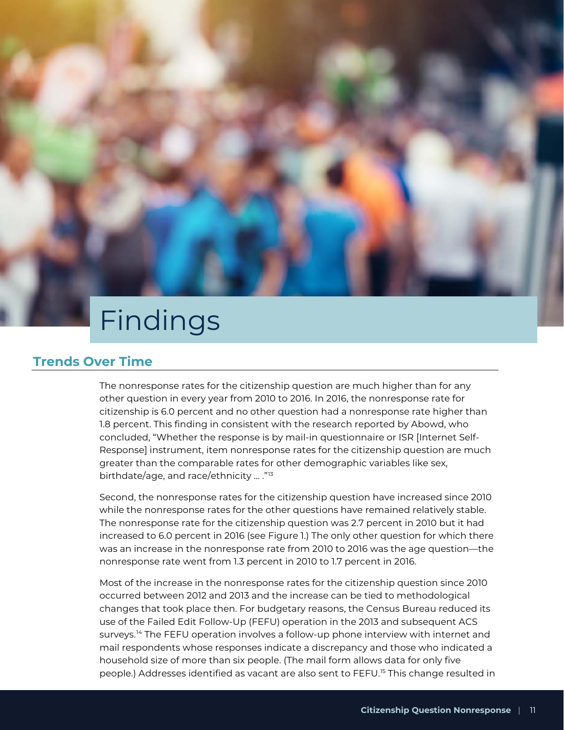# Findings

### **Trends Over Time**

The nonresponse rates for the citizenship question are much higher than for any other question in every year from 2010 to 2016. In 2016, the nonresponse rate for citizenship is 6.0 percent and no other question had a nonresponse rate higher than 1.8 percent. This finding in consistent with the research reported by Abowd, who concluded, "Whether the response is by mail-in questionnaire or ISR [Internet Self-Response] instrument, item nonresponse rates for the citizenship question are much greater than the comparable rates for other demographic variables like sex, birthdate/age, and race/ethnicity ... ."[13](#page-32-12)

Second, the nonresponse rates for the citizenship question have increased since 2010 while the nonresponse rates for the other questions have remained relatively stable. The nonresponse rate for the citizenship question was 2.7 percent in 2010 but it had increased to 6.0 percent in 2016 (see Figure 1.) The only other question for which there was an increase in the nonresponse rate from 2010 to 2016 was the age question—the nonresponse rate went from 1.3 percent in 2010 to 1.7 percent in 2016.

Most of the increase in the nonresponse rates for the citizenship question since 2010 occurred between 2012 and 2013 and the increase can be tied to methodological changes that took place then. For budgetary reasons, the Census Bureau reduced its use of the Failed Edit Follow-Up (FEFU) operation in the 2013 and subsequent ACS surveys.<sup>[14](#page-32-13)</sup> The FEFU operation involves a follow-up phone interview with internet and mail respondents whose responses indicate a discrepancy and those who indicated a household size of more than six people. (The mail form allows data for only five people.) Addresses identified as vacant are also sent to FEFU.<sup>[15](#page-32-14)</sup> This change resulted in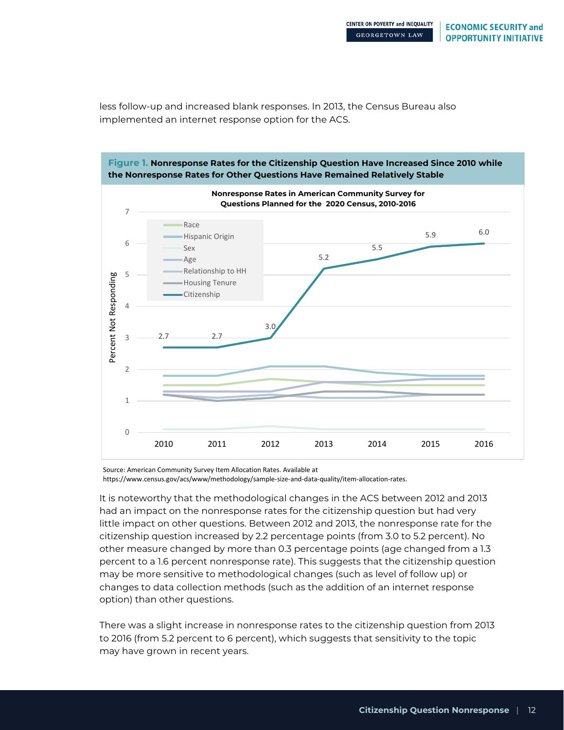less follow-up and increased blank responses. In 2013, the Census Bureau also implemented an internet response option for the ACS.



https://www.census.gov/acs/www/methodology/sample-size-and-data-quality/item-allocation-rates.

It is noteworthy that the methodological changes in the ACS between 2012 and 2013 had an impact on the nonresponse rates for the citizenship question but had very little impact on other questions. Between 2012 and 2013, the nonresponse rate for the citizenship question increased by 2.2 percentage points (from 3.0 to 5.2 percent). No other measure changed by more than 0.3 percentage points (age changed from a 1.3 percent to a 1.6 percent nonresponse rate). This suggests that the citizenship question may be more sensitive to methodological changes (such as level of follow up) or changes to data collection methods (such as the addition of an internet response option) than other questions.

There was a slight increase in nonresponse rates to the citizenship question from 2013 to 2016 (from 5.2 percent to 6 percent), which suggests that sensitivity to the topic may have grown in recent years.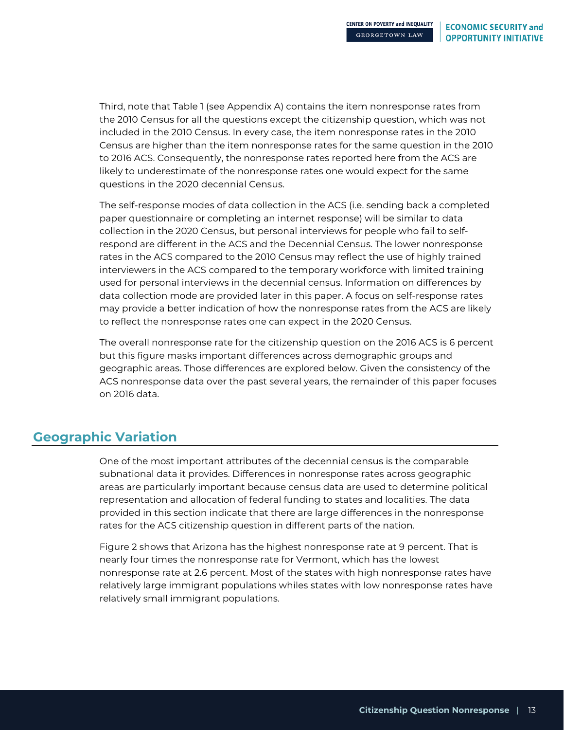Third, note that Table 1 (see Appendix A) contains the item nonresponse rates from the 2010 Census for all the questions except the citizenship question, which was not included in the 2010 Census. In every case, the item nonresponse rates in the 2010 Census are higher than the item nonresponse rates for the same question in the 2010 to 2016 ACS. Consequently, the nonresponse rates reported here from the ACS are likely to underestimate of the nonresponse rates one would expect for the same questions in the 2020 decennial Census.

The self-response modes of data collection in the ACS (i.e. sending back a completed paper questionnaire or completing an internet response) will be similar to data collection in the 2020 Census, but personal interviews for people who fail to selfrespond are different in the ACS and the Decennial Census. The lower nonresponse rates in the ACS compared to the 2010 Census may reflect the use of highly trained interviewers in the ACS compared to the temporary workforce with limited training used for personal interviews in the decennial census. Information on differences by data collection mode are provided later in this paper. A focus on self-response rates may provide a better indication of how the nonresponse rates from the ACS are likely to reflect the nonresponse rates one can expect in the 2020 Census.

The overall nonresponse rate for the citizenship question on the 2016 ACS is 6 percent but this figure masks important differences across demographic groups and geographic areas. Those differences are explored below. Given the consistency of the ACS nonresponse data over the past several years, the remainder of this paper focuses on 2016 data.

### **Geographic Variation**

One of the most important attributes of the decennial census is the comparable subnational data it provides. Differences in nonresponse rates across geographic areas are particularly important because census data are used to determine political representation and allocation of federal funding to states and localities. The data provided in this section indicate that there are large differences in the nonresponse rates for the ACS citizenship question in different parts of the nation.

Figure 2 shows that Arizona has the highest nonresponse rate at 9 percent. That is nearly four times the nonresponse rate for Vermont, which has the lowest nonresponse rate at 2.6 percent. Most of the states with high nonresponse rates have relatively large immigrant populations whiles states with low nonresponse rates have relatively small immigrant populations.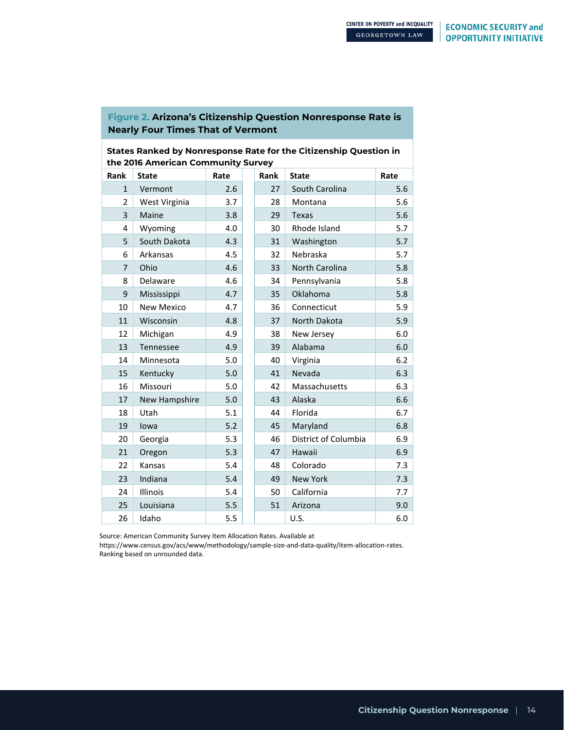### **Figure 2. Arizona's Citizenship Question Nonresponse Rate is Nearly Four Times That of Vermont**

### **States Ranked by Nonresponse Rate for the Citizenship Question in the 2016 American Community Survey**

| Rank           | <b>State</b>      | Rate | Rank | <b>State</b>         | Rate |
|----------------|-------------------|------|------|----------------------|------|
| $\mathbf{1}$   | Vermont           | 2.6  | 27   | South Carolina       | 5.6  |
| $\overline{2}$ | West Virginia     | 3.7  | 28   | Montana              | 5.6  |
| 3              | Maine             | 3.8  | 29   | <b>Texas</b>         | 5.6  |
| 4              | Wyoming           | 4.0  | 30   | Rhode Island         | 5.7  |
| 5              | South Dakota      | 4.3  | 31   | Washington           | 5.7  |
| 6              | Arkansas          | 4.5  | 32   | Nebraska             | 5.7  |
| $\overline{7}$ | Ohio              | 4.6  | 33   | North Carolina       | 5.8  |
| 8              | Delaware          | 4.6  | 34   | Pennsylvania         | 5.8  |
| 9              | Mississippi       | 4.7  | 35   | Oklahoma             | 5.8  |
| 10             | <b>New Mexico</b> | 4.7  | 36   | Connecticut          | 5.9  |
| 11             | Wisconsin         | 4.8  | 37   | North Dakota         | 5.9  |
| 12             | Michigan          | 4.9  | 38   | New Jersey           | 6.0  |
| 13             | Tennessee         | 4.9  | 39   | Alabama              | 6.0  |
| 14             | Minnesota         | 5.0  | 40   | Virginia             | 6.2  |
| 15             | Kentucky          | 5.0  | 41   | Nevada               |      |
| 16             | Missouri          | 5.0  | 42   | Massachusetts        | 6.3  |
| 17             | New Hampshire     | 5.0  | 43   | Alaska               | 6.6  |
| 18             | Utah              | 5.1  | 44   | Florida              | 6.7  |
| 19             | lowa              | 5.2  | 45   | Maryland             | 6.8  |
| 20             | Georgia           | 5.3  | 46   | District of Columbia | 6.9  |
| 21             | Oregon            | 5.3  | 47   | Hawaii               | 6.9  |
| 22             | Kansas            | 5.4  | 48   | Colorado             | 7.3  |
| 23             | Indiana           | 5.4  | 49   | <b>New York</b>      | 7.3  |
| 24             | Illinois          | 5.4  | 50   | California           | 7.7  |
| 25             | Louisiana         | 5.5  | 51   | Arizona              | 9.0  |
| 26             | Idaho             | 5.5  |      | U.S.                 | 6.0  |

Source: American Community Survey Item Allocation Rates. Available at

https://www.census.gov/acs/www/methodology/sample-size-and-data-quality/item-allocation-rates. Ranking based on unrounded data.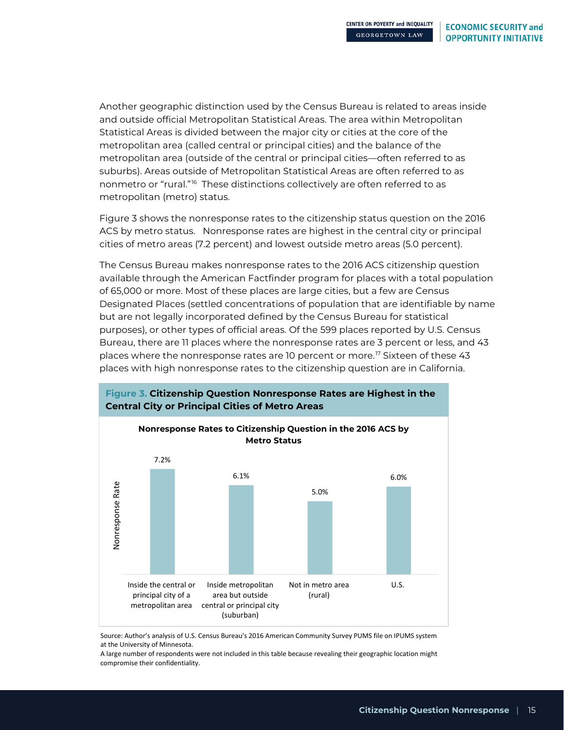Another geographic distinction used by the Census Bureau is related to areas inside and outside official Metropolitan Statistical Areas. The area within Metropolitan Statistical Areas is divided between the major city or cities at the core of the metropolitan area (called central or principal cities) and the balance of the metropolitan area (outside of the central or principal cities—often referred to as suburbs). Areas outside of Metropolitan Statistical Areas are often referred to as nonmetro or "rural."<sup>16</sup> These distinctions collectively are often referred to as metropolitan (metro) status.

Figure 3 shows the nonresponse rates to the citizenship status question on the 2016 ACS by metro status. Nonresponse rates are highest in the central city or principal cities of metro areas (7.2 percent) and lowest outside metro areas (5.0 percent).

The Census Bureau makes nonresponse rates to the 2016 ACS citizenship question available through the American Factfinder program for places with a total population of 65,000 or more. Most of these places are large cities, but a few are Census Designated Places (settled concentrations of population that are identifiable by name but are not legally incorporated defined by the Census Bureau for statistical purposes), or other types of official areas. Of the 599 places reported by U.S. Census Bureau, there are 11 places where the nonresponse rates are 3 percent or less, and 43 places where the nonresponse rates are 10 percent or more.<sup>[17](#page-32-16)</sup> Sixteen of these 43 places with high nonresponse rates to the citizenship question are in California.



Source: Author's analysis of U.S. Census Bureau's 2016 American Community Survey PUMS file on IPUMS system at the University of Minnesota.

A large number of respondents were not included in this table because revealing their geographic location might compromise their confidentiality.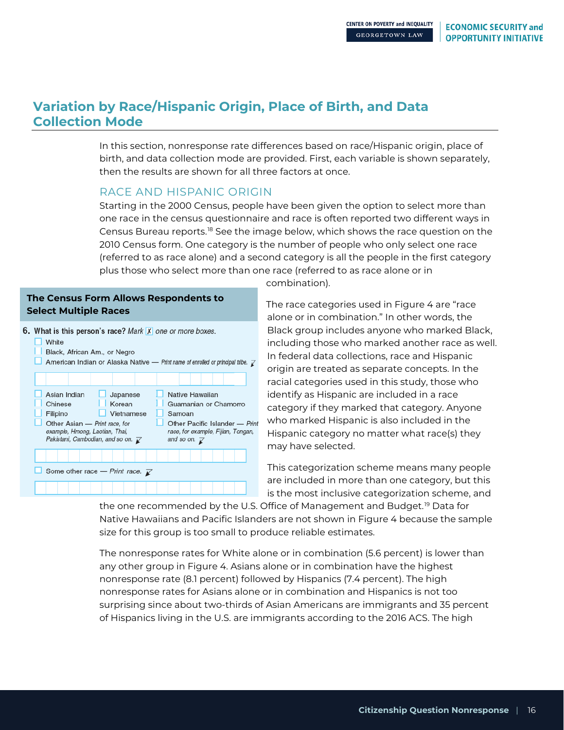### **Variation by Race/Hispanic Origin, Place of Birth, and Data Collection Mode**

In this section, nonresponse rate differences based on race/Hispanic origin, place of birth, and data collection mode are provided. First, each variable is shown separately, then the results are shown for all three factors at once.

### RACE AND HISPANIC ORIGIN

Starting in the 2000 Census, people have been given the option to select more than one race in the census questionnaire and race is often reported two different ways in Census Bureau reports.[18](#page-32-17) See the image below, which shows the race question on the 2010 Census form. One category is the number of people who only select one race (referred to as race alone) and a second category is all the people in the first category plus those who select more than one race (referred to as race alone or in

### **The Census Form Allows Respondents to Select Multiple Races**



combination).

The race categories used in Figure 4 are "race alone or in combination." In other words, the Black group includes anyone who marked Black, including those who marked another race as well. In federal data collections, race and Hispanic origin are treated as separate concepts. In the racial categories used in this study, those who identify as Hispanic are included in a race category if they marked that category. Anyone who marked Hispanic is also included in the Hispanic category no matter what race(s) they may have selected.

This categorization scheme means many people are included in more than one category, but this is the most inclusive categorization scheme, and

the one recommended by the U.S. Office of Management and Budget.<sup>[19](#page-32-18)</sup> Data for Native Hawaiians and Pacific Islanders are not shown in Figure 4 because the sample size for this group is too small to produce reliable estimates.

The nonresponse rates for White alone or in combination (5.6 percent) is lower than any other group in Figure 4. Asians alone or in combination have the highest nonresponse rate (8.1 percent) followed by Hispanics (7.4 percent). The high nonresponse rates for Asians alone or in combination and Hispanics is not too surprising since about two-thirds of Asian Americans are immigrants and 35 percent of Hispanics living in the U.S. are immigrants according to the 2016 ACS. The high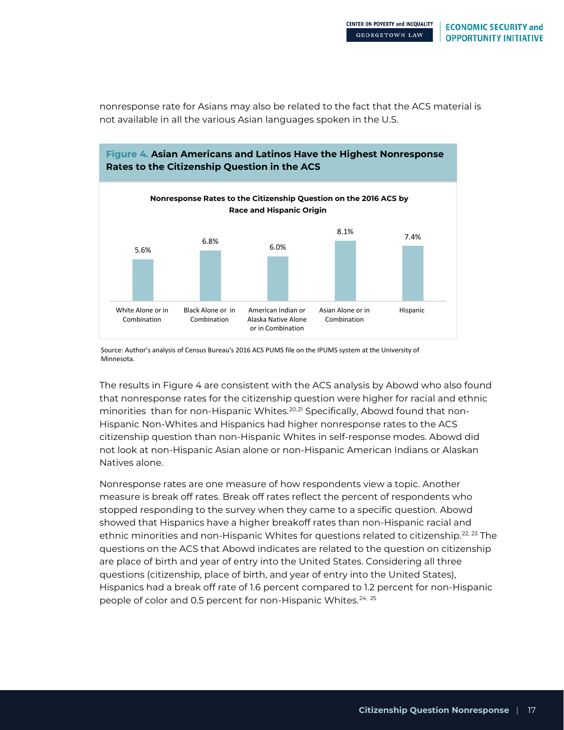nonresponse rate for Asians may also be related to the fact that the ACS material is not available in all the various Asian languages spoken in the U.S.



Source: Author's analysis of Census Bureau's 2016 ACS PUMS file on the IPUMS system at the University of Minnesota.

The results in Figure 4 are consistent with the ACS analysis by Abowd who also found that nonresponse rates for the citizenship question were higher for racial and ethnic minorities than for non-Hispanic Whites.<sup>[20,](#page-32-19)[21](#page-32-20)</sup> Specifically, Abowd found that non-Hispanic Non-Whites and Hispanics had higher nonresponse rates to the ACS citizenship question than non-Hispanic Whites in self-response modes. Abowd did not look at non-Hispanic Asian alone or non-Hispanic American Indians or Alaskan Natives alone.

Nonresponse rates are one measure of how respondents view a topic. Another measure is break off rates. Break off rates reflect the percent of respondents who stopped responding to the survey when they came to a specific question. Abowd showed that Hispanics have a higher breakoff rates than non-Hispanic racial and ethnic minorities and non-Hispanic Whites for questions related to citizenship.<sup>[22,](#page-32-21) [23](#page-32-22)</sup> The questions on the ACS that Abowd indicates are related to the question on citizenship are place of birth and year of entry into the United States. Considering all three questions (citizenship, place of birth, and year of entry into the United States), Hispanics had a break off rate of 1.6 percent compared to 1.2 percent for non-Hispanic people of color and 0.5 percent for non-Hispanic Whites.<sup>[24,](#page-32-23) [25](#page-32-24)</sup>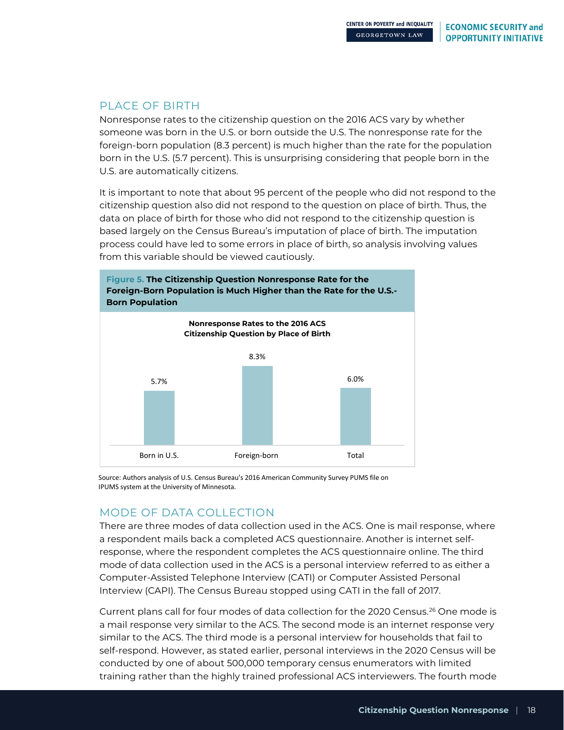### PLACE OF BIRTH

Nonresponse rates to the citizenship question on the 2016 ACS vary by whether someone was born in the U.S. or born outside the U.S. The nonresponse rate for the foreign-born population (8.3 percent) is much higher than the rate for the population born in the U.S. (5.7 percent). This is unsurprising considering that people born in the U.S. are automatically citizens.

It is important to note that about 95 percent of the people who did not respond to the citizenship question also did not respond to the question on place of birth. Thus, the data on place of birth for those who did not respond to the citizenship question is based largely on the Census Bureau's imputation of place of birth. The imputation process could have led to some errors in place of birth, so analysis involving values from this variable should be viewed cautiously.



Source: Authors analysis of U.S. Census Bureau's 2016 American Community Survey PUMS file on IPUMS system at the University of Minnesota.

### MODE OF DATA COLLECTION

There are three modes of data collection used in the ACS. One is mail response, where a respondent mails back a completed ACS questionnaire. Another is internet selfresponse, where the respondent completes the ACS questionnaire online. The third mode of data collection used in the ACS is a personal interview referred to as either a Computer-Assisted Telephone Interview (CATI) or Computer Assisted Personal Interview (CAPI). The Census Bureau stopped using CATI in the fall of 2017.

Current plans call for four modes of data collection for the 2020 Census. [26](#page-32-25) One mode is a mail response very similar to the ACS. The second mode is an internet response very similar to the ACS. The third mode is a personal interview for households that fail to self-respond. However, as stated earlier, personal interviews in the 2020 Census will be conducted by one of about 500,000 temporary census enumerators with limited training rather than the highly trained professional ACS interviewers. The fourth mode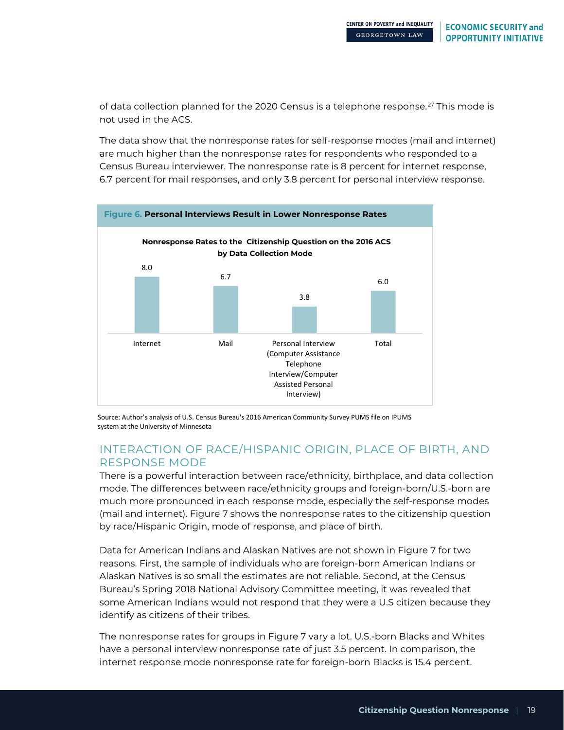of data collection planned for the 2020 Census is a telephone response.<sup>[27](#page-32-26)</sup> This mode is not used in the ACS.

The data show that the nonresponse rates for self-response modes (mail and internet) are much higher than the nonresponse rates for respondents who responded to a Census Bureau interviewer. The nonresponse rate is 8 percent for internet response, 6.7 percent for mail responses, and only 3.8 percent for personal interview response.



Source: Author's analysis of U.S. Census Bureau's 2016 American Community Survey PUMS file on IPUMS system at the University of Minnesota

### INTERACTION OF RACE/HISPANIC ORIGIN, PLACE OF BIRTH, AND RESPONSE MODE

There is a powerful interaction between race/ethnicity, birthplace, and data collection mode. The differences between race/ethnicity groups and foreign-born/U.S.-born are much more pronounced in each response mode, especially the self-response modes (mail and internet). Figure 7 shows the nonresponse rates to the citizenship question by race/Hispanic Origin, mode of response, and place of birth.

Data for American Indians and Alaskan Natives are not shown in Figure 7 for two reasons. First, the sample of individuals who are foreign-born American Indians or Alaskan Natives is so small the estimates are not reliable. Second, at the Census Bureau's Spring 2018 National Advisory Committee meeting, it was revealed that some American Indians would not respond that they were a U.S citizen because they identify as citizens of their tribes.

The nonresponse rates for groups in Figure 7 vary a lot. U.S.-born Blacks and Whites have a personal interview nonresponse rate of just 3.5 percent. In comparison, the internet response mode nonresponse rate for foreign-born Blacks is 15.4 percent.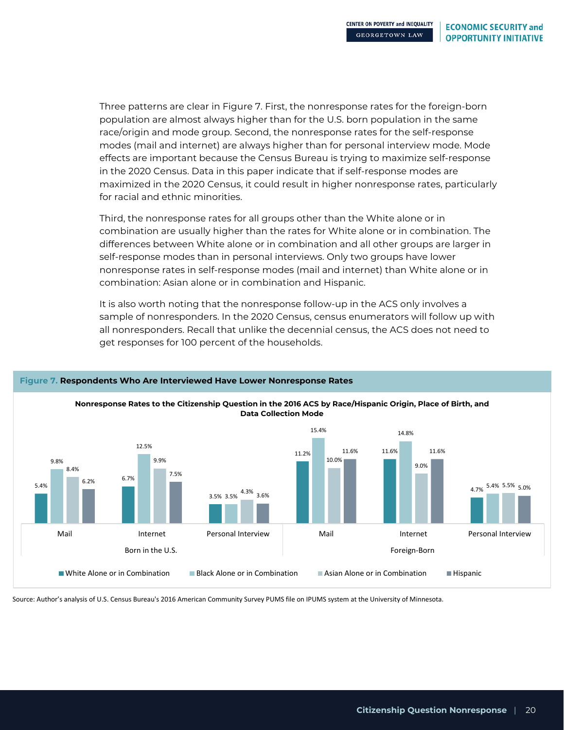Three patterns are clear in Figure 7. First, the nonresponse rates for the foreign-born population are almost always higher than for the U.S. born population in the same race/origin and mode group. Second, the nonresponse rates for the self-response modes (mail and internet) are always higher than for personal interview mode. Mode effects are important because the Census Bureau is trying to maximize self-response in the 2020 Census. Data in this paper indicate that if self-response modes are maximized in the 2020 Census, it could result in higher nonresponse rates, particularly for racial and ethnic minorities.

Third, the nonresponse rates for all groups other than the White alone or in combination are usually higher than the rates for White alone or in combination. The differences between White alone or in combination and all other groups are larger in self-response modes than in personal interviews. Only two groups have lower nonresponse rates in self-response modes (mail and internet) than White alone or in combination: Asian alone or in combination and Hispanic.

It is also worth noting that the nonresponse follow-up in the ACS only involves a sample of nonresponders. In the 2020 Census, census enumerators will follow up with all nonresponders. Recall that unlike the decennial census, the ACS does not need to get responses for 100 percent of the households.



### **Figure 7. Respondents Who Are Interviewed Have Lower Nonresponse Rates**

Source: Author's analysis of U.S. Census Bureau's 2016 American Community Survey PUMS file on IPUMS system at the University of Minnesota.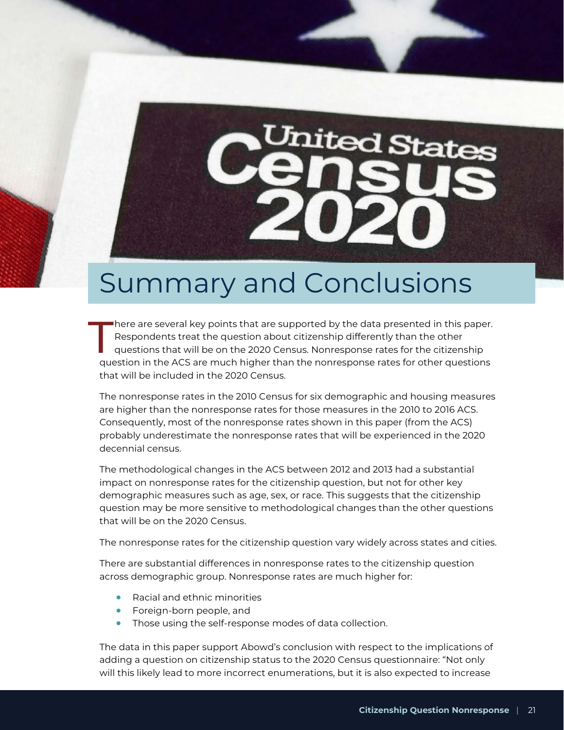# *<u>Jnited States</u>*

# Summary and Conclusions

here are several key points that are supported by the data presented in this paper. Respondents treat the question about citizenship differently than the other questions that will be on the 2020 Census. Nonresponse rates for the citizenship question in the ACS are much higher than the nonresponse rates for other questions that will be included in the 2020 Census.  $\prod$ 

The nonresponse rates in the 2010 Census for six demographic and housing measures are higher than the nonresponse rates for those measures in the 2010 to 2016 ACS. Consequently, most of the nonresponse rates shown in this paper (from the ACS) probably underestimate the nonresponse rates that will be experienced in the 2020 decennial census.

The methodological changes in the ACS between 2012 and 2013 had a substantial impact on nonresponse rates for the citizenship question, but not for other key demographic measures such as age, sex, or race. This suggests that the citizenship question may be more sensitive to methodological changes than the other questions that will be on the 2020 Census.

The nonresponse rates for the citizenship question vary widely across states and cities.

There are substantial differences in nonresponse rates to the citizenship question across demographic group. Nonresponse rates are much higher for:

- Racial and ethnic minorities
- Foreign-born people, and
- Those using the self-response modes of data collection.

The data in this paper support Abowd's conclusion with respect to the implications of adding a question on citizenship status to the 2020 Census questionnaire: "Not only will this likely lead to more incorrect enumerations, but it is also expected to increase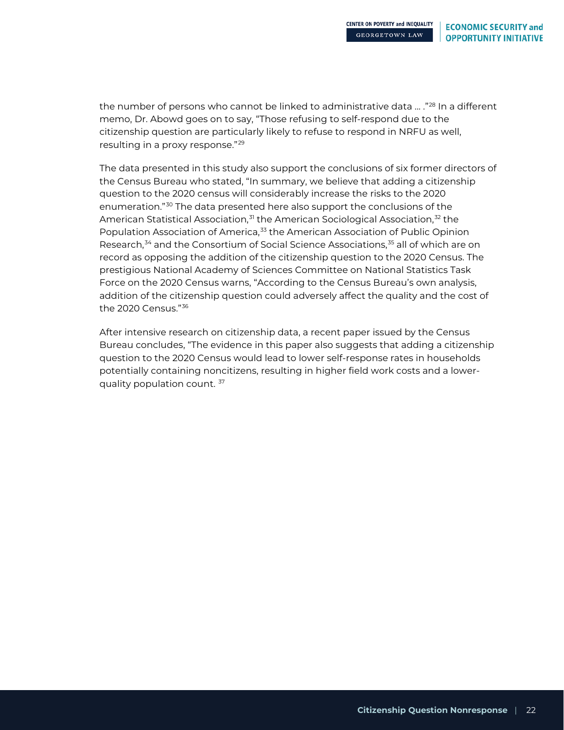the number of persons who cannot be linked to administrative data ... ."<sup>[28](#page-32-27)</sup> In a different memo, Dr. Abowd goes on to say, "Those refusing to self-respond due to the citizenship question are particularly likely to refuse to respond in NRFU as well, resulting in a proxy response."[29](#page-32-28)

The data presented in this study also support the conclusions of six former directors of the Census Bureau who stated, "In summary, we believe that adding a citizenship question to the 2020 census will considerably increase the risks to the 2020 enumeration."[30](#page-32-29) The data presented here also support the conclusions of the American Statistical Association,<sup>[31](#page-32-30)</sup> the American Sociological Association,<sup>[32](#page-32-31)</sup> the Population Association of America,<sup>[33](#page-32-32)</sup> the American Association of Public Opinion Research,<sup>[34](#page-32-33)</sup> and the Consortium of Social Science Associations,<sup>[35](#page-32-34)</sup> all of which are on record as opposing the addition of the citizenship question to the 2020 Census. The prestigious National Academy of Sciences Committee on National Statistics Task Force on the 2020 Census warns, "According to the Census Bureau's own analysis, addition of the citizenship question could adversely affect the quality and the cost of the 2020 Census."[36](#page-32-35)

After intensive research on citizenship data, a recent paper issued by the Census Bureau concludes, "The evidence in this paper also suggests that adding a citizenship question to the 2020 Census would lead to lower self-response rates in households potentially containing noncitizens, resulting in higher field work costs and a lower-quality population count.<sup>[37](#page-32-36)</sup>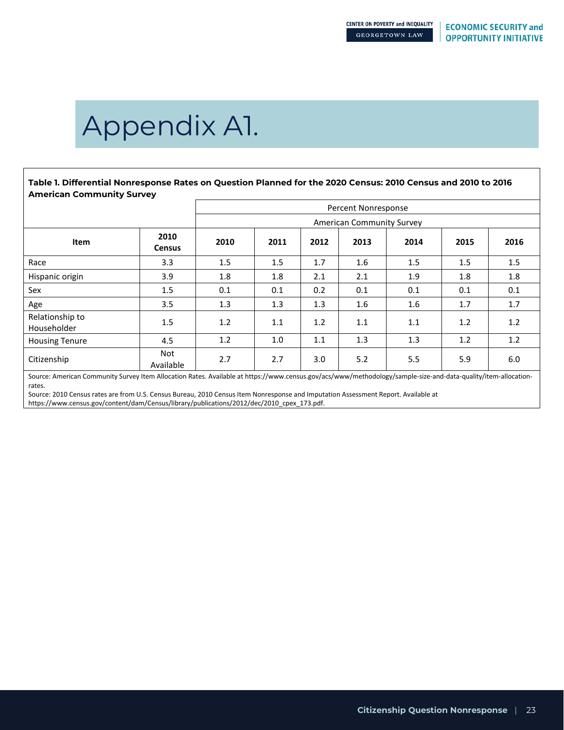# Appendix A1.

**Table 1. Differential Nonresponse Rates on Question Planned for the 2020 Census: 2010 Census and 2010 to 2016 American Community Survey**

|                                |                       | Percent Nonresponse |      |      |                                  |      |      |      |
|--------------------------------|-----------------------|---------------------|------|------|----------------------------------|------|------|------|
|                                |                       |                     |      |      | <b>American Community Survey</b> |      |      |      |
| Item                           | 2010<br><b>Census</b> | 2010                | 2011 | 2012 | 2013                             | 2014 | 2015 | 2016 |
| Race                           | 3.3                   | 1.5                 | 1.5  | 1.7  | 1.6                              | 1.5  | 1.5  | 1.5  |
| Hispanic origin                | 3.9                   | 1.8                 | 1.8  | 2.1  | 2.1                              | 1.9  | 1.8  | 1.8  |
| Sex                            | 1.5                   | 0.1                 | 0.1  | 0.2  | 0.1                              | 0.1  | 0.1  | 0.1  |
| Age                            | 3.5                   | 1.3                 | 1.3  | 1.3  | 1.6                              | 1.6  | 1.7  | 1.7  |
| Relationship to<br>Householder | 1.5                   | 1.2                 | 1.1  | 1.2  | 1.1                              | 1.1  | 1.2  | 1.2  |
| <b>Housing Tenure</b>          | 4.5                   | 1.2                 | 1.0  | 1.1  | 1.3                              | 1.3  | 1.2  | 1.2  |
| Citizenship                    | Not<br>Available      | 2.7                 | 2.7  | 3.0  | 5.2                              | 5.5  | 5.9  | 6.0  |

Source: American Community Survey Item Allocation Rates. Available at https://www.census.gov/acs/www/methodology/sample-size-and-data-quality/item-allocationrates.

Source: 2010 Census rates are from U.S. Census Bureau, 2010 Census Item Nonresponse and Imputation Assessment Report. Available at https://www.census.gov/content/dam/Census/library/publications/2012/dec/2010\_cpex\_173.pdf.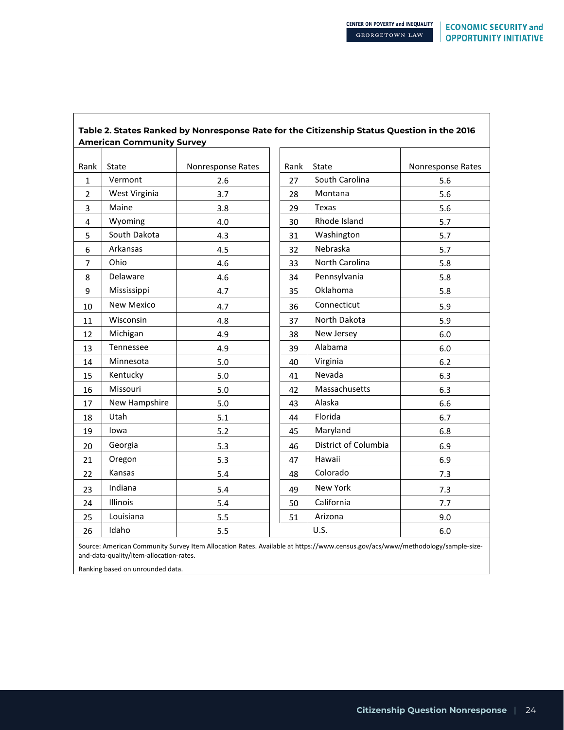| Table 2. States Ranked by Nonresponse Rate for the Citizenship Status Question in the 2016 |                                  |                   |      |                      |                   |  |
|--------------------------------------------------------------------------------------------|----------------------------------|-------------------|------|----------------------|-------------------|--|
|                                                                                            | <b>American Community Survey</b> |                   |      |                      |                   |  |
| Rank                                                                                       | State                            | Nonresponse Rates | Rank | State                | Nonresponse Rates |  |
| 1                                                                                          | Vermont                          | 2.6               | 27   | South Carolina       | 5.6               |  |
| $\overline{2}$                                                                             | West Virginia                    | 3.7               | 28   | Montana              | 5.6               |  |
| 3                                                                                          | Maine                            | 3.8               | 29   | <b>Texas</b>         | 5.6               |  |
| 4                                                                                          | Wyoming                          | 4.0               | 30   | Rhode Island         | 5.7               |  |
| 5                                                                                          | South Dakota                     | 4.3               | 31   | Washington           | 5.7               |  |
| 6                                                                                          | Arkansas                         | 4.5               | 32   | Nebraska             | 5.7               |  |
| 7                                                                                          | Ohio                             | 4.6               | 33   | North Carolina       | 5.8               |  |
| 8                                                                                          | Delaware                         | 4.6               | 34   | Pennsylvania         | 5.8               |  |
| 9                                                                                          | Mississippi                      | 4.7               | 35   | Oklahoma             | 5.8               |  |
| 10                                                                                         | <b>New Mexico</b>                | 4.7               | 36   | Connecticut          | 5.9               |  |
| 11                                                                                         | Wisconsin                        | 4.8               | 37   | North Dakota         | 5.9               |  |
| 12                                                                                         | Michigan                         | 4.9               | 38   | New Jersey           | 6.0               |  |
| 13                                                                                         | Tennessee                        | 4.9               | 39   | Alabama              | 6.0               |  |
| 14                                                                                         | Minnesota                        | 5.0               | 40   | Virginia             | 6.2               |  |
| 15                                                                                         | Kentucky                         | 5.0               | 41   | Nevada               | 6.3               |  |
| 16                                                                                         | Missouri                         | 5.0               | 42   | Massachusetts        | 6.3               |  |
| 17                                                                                         | New Hampshire                    | 5.0               | 43   | Alaska               | 6.6               |  |
| 18                                                                                         | Utah                             | 5.1               | 44   | Florida              | 6.7               |  |
| 19                                                                                         | lowa                             | 5.2               | 45   | Maryland             | 6.8               |  |
| 20                                                                                         | Georgia                          | 5.3               | 46   | District of Columbia | 6.9               |  |
| 21                                                                                         | Oregon                           | 5.3               | 47   | Hawaii               | 6.9               |  |
| 22                                                                                         | Kansas                           | 5.4               | 48   | Colorado             | 7.3               |  |
| 23                                                                                         | Indiana                          | 5.4               | 49   | New York             | 7.3               |  |
| 24                                                                                         | Illinois                         | 5.4               | 50   | California           | 7.7               |  |
| 25                                                                                         | Louisiana                        | 5.5               | 51   | Arizona              | 9.0               |  |
| 26                                                                                         | Idaho                            | 5.5               |      | U.S.                 | $6.0\,$           |  |

Source: American Community Survey Item Allocation Rates. Available at https://www.census.gov/acs/www/methodology/sample-sizeand-data-quality/item-allocation-rates.

Ranking based on unrounded data.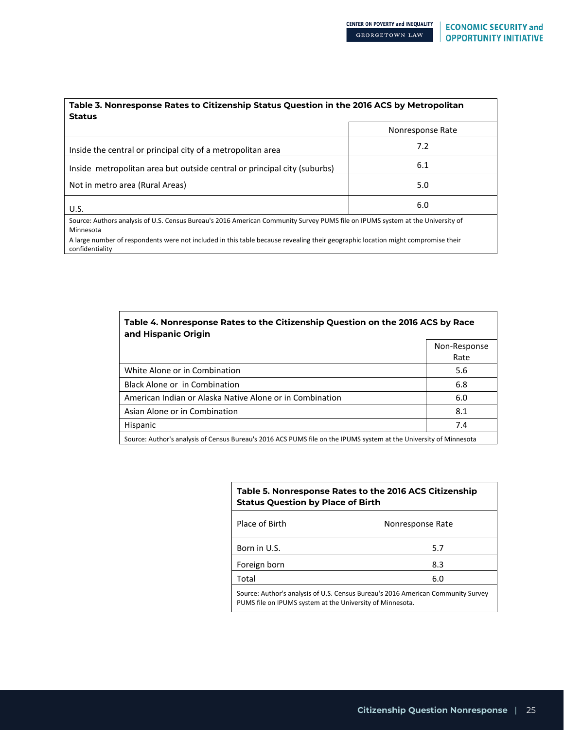| Table 3. Nonresponse Rates to Citizenship Status Question in the 2016 ACS by Metropolitan                                                           |                  |  |  |  |  |  |  |
|-----------------------------------------------------------------------------------------------------------------------------------------------------|------------------|--|--|--|--|--|--|
| <b>Status</b>                                                                                                                                       |                  |  |  |  |  |  |  |
|                                                                                                                                                     | Nonresponse Rate |  |  |  |  |  |  |
| Inside the central or principal city of a metropolitan area                                                                                         | 7.2              |  |  |  |  |  |  |
| Inside metropolitan area but outside central or principal city (suburbs)                                                                            | 6.1              |  |  |  |  |  |  |
| Not in metro area (Rural Areas)                                                                                                                     | 5.0              |  |  |  |  |  |  |
| U.S.                                                                                                                                                | 6.0              |  |  |  |  |  |  |
| Source: Authors analysis of U.S. Census Bureau's 2016 American Community Survey PUMS file on IPUMS system at the University of<br>Minnesota         |                  |  |  |  |  |  |  |
| A large number of respondents were not included in this table because revealing their geographic location might compromise their<br>confidentiality |                  |  |  |  |  |  |  |

 $\mathbf{r}$ 

| Table 4. Nonresponse Rates to the Citizenship Question on the 2016 ACS by Race<br>and Hispanic Origin              |                      |  |  |  |  |
|--------------------------------------------------------------------------------------------------------------------|----------------------|--|--|--|--|
|                                                                                                                    | Non-Response<br>Rate |  |  |  |  |
| White Alone or in Combination                                                                                      | 5.6                  |  |  |  |  |
| Black Alone or in Combination                                                                                      | 6.8                  |  |  |  |  |
| American Indian or Alaska Native Alone or in Combination                                                           | 6.0                  |  |  |  |  |
| Asian Alone or in Combination                                                                                      | 8.1                  |  |  |  |  |
| Hispanic                                                                                                           | 7.4                  |  |  |  |  |
| Source: Author's analysis of Census Bureau's 2016 ACS PUMS file on the IPUMS system at the University of Minnesota |                      |  |  |  |  |

### **Table 5. Nonresponse Rates to the 2016 ACS Citizenship Status Question by Place of Birth**

| Place of Birth                                                                   | Nonresponse Rate |  |  |  |  |
|----------------------------------------------------------------------------------|------------------|--|--|--|--|
| Born in U.S.                                                                     | 5.7              |  |  |  |  |
| Foreign born                                                                     | 8.3              |  |  |  |  |
| Total                                                                            | 6.0              |  |  |  |  |
| Source: Author's analysis of U.S. Census Bureau's 2016 American Community Survey |                  |  |  |  |  |

PUMS file on IPUMS system at the University of Minnesota.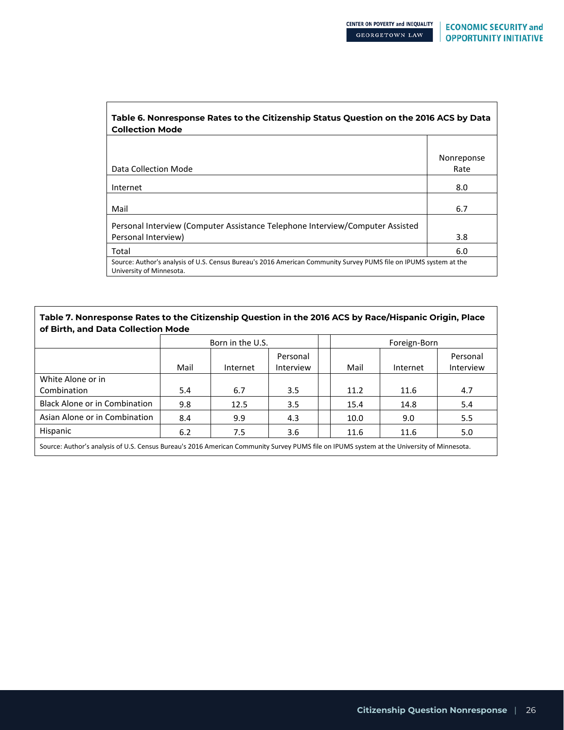٦

| Table 6. Nonresponse Rates to the Citizenship Status Question on the 2016 ACS by Data<br><b>Collection Mode</b>                               |            |  |  |  |  |  |
|-----------------------------------------------------------------------------------------------------------------------------------------------|------------|--|--|--|--|--|
|                                                                                                                                               |            |  |  |  |  |  |
|                                                                                                                                               | Nonreponse |  |  |  |  |  |
| Data Collection Mode                                                                                                                          | Rate       |  |  |  |  |  |
| Internet                                                                                                                                      | 8.0        |  |  |  |  |  |
| Mail                                                                                                                                          | 6.7        |  |  |  |  |  |
| Personal Interview (Computer Assistance Telephone Interview/Computer Assisted                                                                 |            |  |  |  |  |  |
| Personal Interview)                                                                                                                           | 3.8        |  |  |  |  |  |
| Total                                                                                                                                         | 6.0        |  |  |  |  |  |
| Source: Author's analysis of U.S. Census Bureau's 2016 American Community Survey PUMS file on IPUMS system at the<br>University of Minnesota. |            |  |  |  |  |  |

### **Table 7. Nonresponse Rates to the Citizenship Question in the 2016 ACS by Race/Hispanic Origin, Place of Birth, and Data Collection Mode**

| Born in the U.S. |          |                       |  |      |          |                       |
|------------------|----------|-----------------------|--|------|----------|-----------------------|
| Mail             | Internet | Personal<br>Interview |  | Mail | Internet | Personal<br>Interview |
|                  |          |                       |  |      |          |                       |
| 5.4              | 6.7      | 3.5                   |  | 11.2 | 11.6     | 4.7                   |
| 9.8              | 12.5     | 3.5                   |  | 15.4 | 14.8     | 5.4                   |
| 8.4              | 9.9      | 4.3                   |  | 10.0 | 9.0      | 5.5                   |
| 6.2              | 7.5      | 3.6                   |  | 11.6 | 11.6     | 5.0                   |
|                  |          |                       |  |      |          | Foreign-Born          |

Source: Author's analysis of U.S. Census Bureau's 2016 American Community Survey PUMS file on IPUMS system at the University of Minnesota.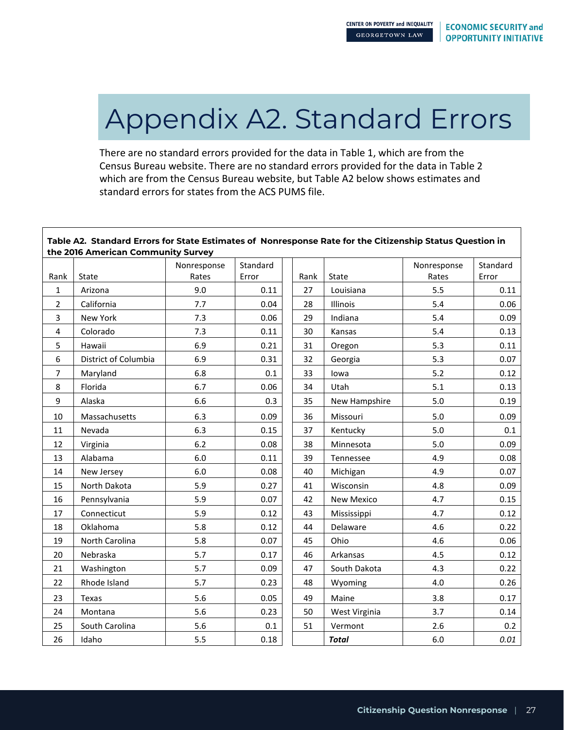# Appendix A2. Standard Errors

There are no standard errors provided for the data in Table 1, which are from the Census Bureau website. There are no standard errors provided for the data in Table 2 which are from the Census Bureau website, but Table A2 below shows estimates and standard errors for states from the ACS PUMS file.

| Table A2. Standard Errors for State Estimates of Nonresponse Rate for the Citizenship Status Question in<br>the 2016 American Community Survey |                      |             |          |  |      |                   |             |          |
|------------------------------------------------------------------------------------------------------------------------------------------------|----------------------|-------------|----------|--|------|-------------------|-------------|----------|
|                                                                                                                                                |                      | Nonresponse | Standard |  |      |                   | Nonresponse | Standard |
| Rank                                                                                                                                           | State                | Rates       | Error    |  | Rank | State             | Rates       | Error    |
| $\mathbf{1}$                                                                                                                                   | Arizona              | 9.0         | 0.11     |  | 27   | Louisiana         | 5.5         | 0.11     |
| 2                                                                                                                                              | California           | 7.7         | 0.04     |  | 28   | Illinois          | 5.4         | 0.06     |
| 3                                                                                                                                              | New York             | 7.3         | 0.06     |  | 29   | Indiana           | 5.4         | 0.09     |
| 4                                                                                                                                              | Colorado             | 7.3         | 0.11     |  | 30   | Kansas            | 5.4         | 0.13     |
| 5                                                                                                                                              | Hawaii               | 6.9         | 0.21     |  | 31   | Oregon            | 5.3         | 0.11     |
| 6                                                                                                                                              | District of Columbia | 6.9         | 0.31     |  | 32   | Georgia           | 5.3         | 0.07     |
| 7                                                                                                                                              | Maryland             | 6.8         | 0.1      |  | 33   | lowa              | 5.2         | 0.12     |
| 8                                                                                                                                              | Florida              | 6.7         | 0.06     |  | 34   | Utah              | 5.1         | 0.13     |
| 9                                                                                                                                              | Alaska               | 6.6         | 0.3      |  | 35   | New Hampshire     | 5.0         | 0.19     |
| 10                                                                                                                                             | Massachusetts        | 6.3         | 0.09     |  | 36   | Missouri          | 5.0         | 0.09     |
| 11                                                                                                                                             | Nevada               | 6.3         | 0.15     |  | 37   | Kentucky          | 5.0         | 0.1      |
| 12                                                                                                                                             | Virginia             | 6.2         | 0.08     |  | 38   | Minnesota         | 5.0         | 0.09     |
| 13                                                                                                                                             | Alabama              | 6.0         | 0.11     |  | 39   | Tennessee         | 4.9         | 0.08     |
| 14                                                                                                                                             | New Jersey           | 6.0         | 0.08     |  | 40   | Michigan          | 4.9         | 0.07     |
| 15                                                                                                                                             | North Dakota         | 5.9         | 0.27     |  | 41   | Wisconsin         | 4.8         | 0.09     |
| 16                                                                                                                                             | Pennsylvania         | 5.9         | 0.07     |  | 42   | <b>New Mexico</b> | 4.7         | 0.15     |
| 17                                                                                                                                             | Connecticut          | 5.9         | 0.12     |  | 43   | Mississippi       | 4.7         | 0.12     |
| 18                                                                                                                                             | Oklahoma             | 5.8         | 0.12     |  | 44   | Delaware          | 4.6         | 0.22     |
| 19                                                                                                                                             | North Carolina       | 5.8         | 0.07     |  | 45   | Ohio              | 4.6         | 0.06     |
| 20                                                                                                                                             | Nebraska             | 5.7         | 0.17     |  | 46   | Arkansas          | 4.5         | 0.12     |
| 21                                                                                                                                             | Washington           | 5.7         | 0.09     |  | 47   | South Dakota      | 4.3         | 0.22     |
| 22                                                                                                                                             | Rhode Island         | 5.7         | 0.23     |  | 48   | Wyoming           | 4.0         | 0.26     |
| 23                                                                                                                                             | Texas                | 5.6         | 0.05     |  | 49   | Maine             | 3.8         | 0.17     |
| 24                                                                                                                                             | Montana              | 5.6         | 0.23     |  | 50   | West Virginia     | 3.7         | 0.14     |
| 25                                                                                                                                             | South Carolina       | 5.6         | 0.1      |  | 51   | Vermont           | 2.6         | 0.2      |
| 26                                                                                                                                             | Idaho                | 5.5         | 0.18     |  |      | <b>Total</b>      | 6.0         | 0.01     |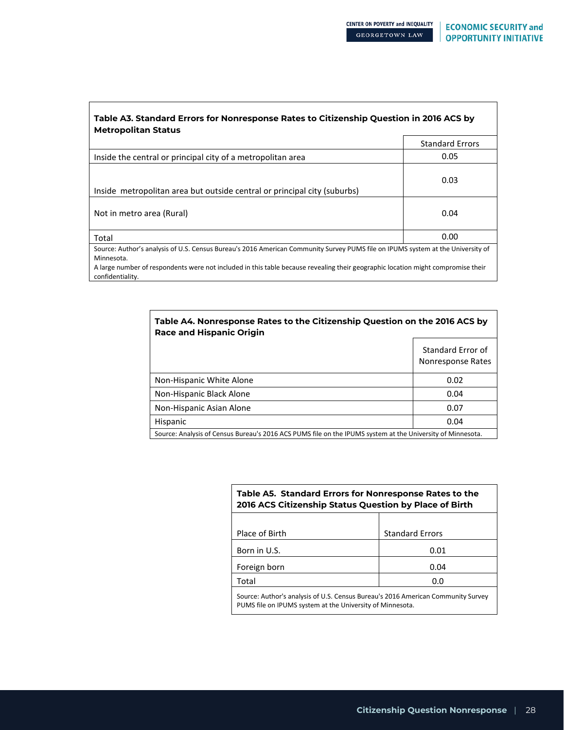٦

| Table A3. Standard Errors for Nonresponse Rates to Citizenship Question in 2016 ACS by<br><b>Metropolitan Status</b>                                                                                                                                                                                  |                        |
|-------------------------------------------------------------------------------------------------------------------------------------------------------------------------------------------------------------------------------------------------------------------------------------------------------|------------------------|
|                                                                                                                                                                                                                                                                                                       | <b>Standard Errors</b> |
| Inside the central or principal city of a metropolitan area                                                                                                                                                                                                                                           | 0.05                   |
| Inside metropolitan area but outside central or principal city (suburbs)                                                                                                                                                                                                                              | 0.03                   |
| Not in metro area (Rural)                                                                                                                                                                                                                                                                             | 0.04                   |
| Total                                                                                                                                                                                                                                                                                                 | 0.00                   |
| Source: Author's analysis of U.S. Census Bureau's 2016 American Community Survey PUMS file on IPUMS system at the University of<br>Minnesota.<br>A large number of respondents were not included in this table because revealing their geographic location might compromise their<br>confidentiality. |                        |

ா

| Table A4. Nonresponse Rates to the Citizenship Question on the 2016 ACS by<br><b>Race and Hispanic Origin</b> |                                        |  |  |  |  |  |  |
|---------------------------------------------------------------------------------------------------------------|----------------------------------------|--|--|--|--|--|--|
|                                                                                                               | Standard Error of<br>Nonresponse Rates |  |  |  |  |  |  |
| Non-Hispanic White Alone                                                                                      | 0.02                                   |  |  |  |  |  |  |
| Non-Hispanic Black Alone                                                                                      | 0.04                                   |  |  |  |  |  |  |
| Non-Hispanic Asian Alone                                                                                      | 0.07                                   |  |  |  |  |  |  |
| Hispanic                                                                                                      | 0.04                                   |  |  |  |  |  |  |
| Source: Analysis of Census Bureau's 2016 ACS PUMS file on the IPUMS system at the University of Minnesota.    |                                        |  |  |  |  |  |  |

| Table A5. Standard Errors for Nonresponse Rates to the<br>2016 ACS Citizenship Status Question by Place of Birth                              |                        |  |  |  |  |  |  |
|-----------------------------------------------------------------------------------------------------------------------------------------------|------------------------|--|--|--|--|--|--|
| Place of Birth                                                                                                                                | <b>Standard Errors</b> |  |  |  |  |  |  |
| Born in U.S.                                                                                                                                  | 0.01                   |  |  |  |  |  |  |
| Foreign born                                                                                                                                  | 0.04                   |  |  |  |  |  |  |
| Total                                                                                                                                         | 0.0                    |  |  |  |  |  |  |
| Source: Author's analysis of U.S. Census Bureau's 2016 American Community Survey<br>PUMS file on IPUMS system at the University of Minnesota. |                        |  |  |  |  |  |  |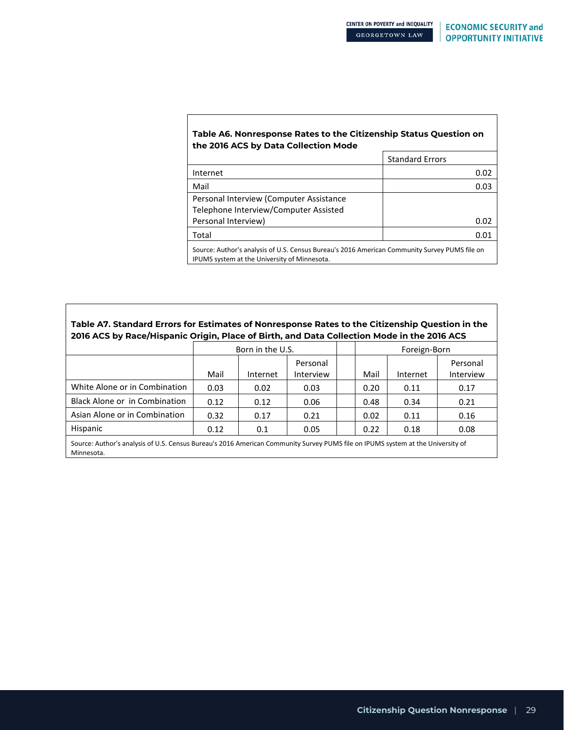### **Table A6. Nonresponse Rates to the Citizenship Status Question on the 2016 ACS by Data Collection Mode**

|                                                                                                                                               | <b>Standard Errors</b> |  |  |  |  |
|-----------------------------------------------------------------------------------------------------------------------------------------------|------------------------|--|--|--|--|
| Internet                                                                                                                                      | 0.02                   |  |  |  |  |
| Mail                                                                                                                                          | 0.03                   |  |  |  |  |
| Personal Interview (Computer Assistance                                                                                                       |                        |  |  |  |  |
| Telephone Interview/Computer Assisted                                                                                                         |                        |  |  |  |  |
| Personal Interview)                                                                                                                           | 0.02                   |  |  |  |  |
| Total                                                                                                                                         | 0.01                   |  |  |  |  |
| Source: Author's analysis of U.S. Census Bureau's 2016 American Community Survey PUMS file on<br>IPUMS system at the University of Minnesota. |                        |  |  |  |  |

### **Table A7. Standard Errors for Estimates of Nonresponse Rates to the Citizenship Question in the 2016 ACS by Race/Hispanic Origin, Place of Birth, and Data Collection Mode in the 2016 ACS**

|                                                                                                                                 | Born in the U.S. |          |                       |  | Foreign-Born |          |                       |
|---------------------------------------------------------------------------------------------------------------------------------|------------------|----------|-----------------------|--|--------------|----------|-----------------------|
|                                                                                                                                 | Mail             | Internet | Personal<br>Interview |  | Mail         | Internet | Personal<br>Interview |
| White Alone or in Combination                                                                                                   | 0.03             | 0.02     | 0.03                  |  | 0.20         | 0.11     | 0.17                  |
| Black Alone or in Combination                                                                                                   | 0.12             | 0.12     | 0.06                  |  | 0.48         | 0.34     | 0.21                  |
| Asian Alone or in Combination                                                                                                   | 0.32             | 0.17     | 0.21                  |  | 0.02         | 0.11     | 0.16                  |
| Hispanic                                                                                                                        | 0.12             | 0.1      | 0.05                  |  | 0.22         | 0.18     | 0.08                  |
| Course Author's anglusis of U.S. Consus Burgauls 2016 Amorisan Community Survey BUIAC filo on IBUAC system at the University of |                  |          |                       |  |              |          |                       |

urce: Author's analysis of U.S. Census Bureau's 2016 American Community Survey PUMS file on IPUMS system at the University of Minnesota.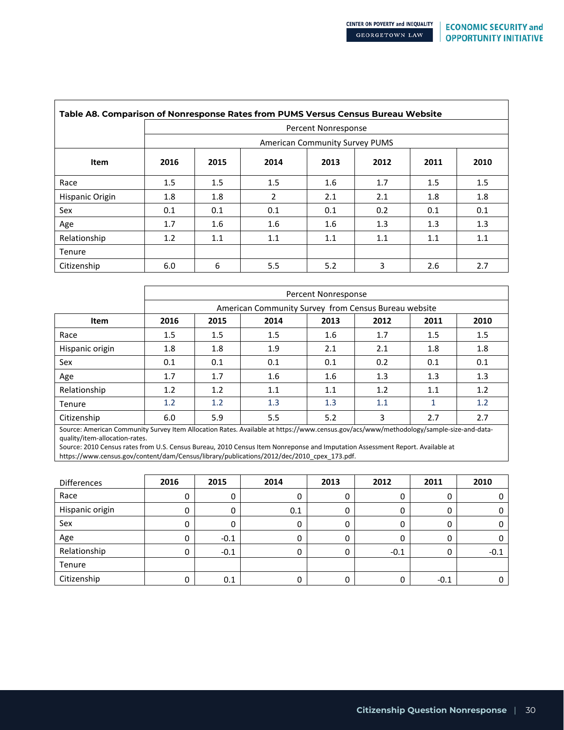| Table A8. Comparison of Nonresponse Rates from PUMS Versus Census Bureau Website |      |                            |                                       |      |      |      |      |  |  |  |
|----------------------------------------------------------------------------------|------|----------------------------|---------------------------------------|------|------|------|------|--|--|--|
|                                                                                  |      | <b>Percent Nonresponse</b> |                                       |      |      |      |      |  |  |  |
|                                                                                  |      |                            | <b>American Community Survey PUMS</b> |      |      |      |      |  |  |  |
| Item                                                                             | 2016 | 2015                       | 2014                                  | 2013 | 2012 | 2011 | 2010 |  |  |  |
| Race                                                                             | 1.5  | 1.5                        | 1.5                                   | 1.6  | 1.7  | 1.5  | 1.5  |  |  |  |
| Hispanic Origin                                                                  | 1.8  | 1.8                        | 2                                     | 2.1  | 2.1  | 1.8  | 1.8  |  |  |  |
| Sex                                                                              | 0.1  | 0.1                        | 0.1                                   | 0.1  | 0.2  | 0.1  | 0.1  |  |  |  |
| Age                                                                              | 1.7  | 1.6                        | 1.6                                   | 1.6  | 1.3  | 1.3  | 1.3  |  |  |  |
| Relationship                                                                     | 1.2  | 1.1                        | 1.1                                   | 1.1  | 1.1  | 1.1  | 1.1  |  |  |  |
| Tenure                                                                           |      |                            |                                       |      |      |      |      |  |  |  |
| Citizenship                                                                      | 6.0  | 6                          | 5.5                                   | 5.2  | 3    | 2.6  | 2.7  |  |  |  |

|                 | Percent Nonresponse |         |                                                      |      |      |      |      |
|-----------------|---------------------|---------|------------------------------------------------------|------|------|------|------|
|                 |                     |         | American Community Survey from Census Bureau website |      |      |      |      |
| Item            | 2016                | 2015    | 2014                                                 | 2013 | 2012 | 2011 | 2010 |
| Race            | 1.5                 | $1.5\,$ | 1.5                                                  | 1.6  | 1.7  | 1.5  | 1.5  |
| Hispanic origin | 1.8                 | 1.8     | 1.9                                                  | 2.1  | 2.1  | 1.8  | 1.8  |
| Sex             | 0.1                 | 0.1     | 0.1                                                  | 0.1  | 0.2  | 0.1  | 0.1  |
| Age             | 1.7                 | 1.7     | 1.6                                                  | 1.6  | 1.3  | 1.3  | 1.3  |
| Relationship    | 1.2                 | 1.2     | 1.1                                                  | 1.1  | 1.2  | 1.1  | 1.2  |
| Tenure          | 1.2                 | 1.2     | 1.3                                                  | 1.3  | 1.1  | 1    | 1.2  |
| Citizenship     | 6.0                 | 5.9     | 5.5                                                  | 5.2  | 3    | 2.7  | 2.7  |

Source: American Community Survey Item Allocation Rates. Available at https://www.census.gov/acs/www/methodology/sample-size-and-dataquality/item-allocation-rates.

Source: 2010 Census rates from U.S. Census Bureau, 2010 Census Item Nonreponse and Imputation Assessment Report. Available at

https://www.census.gov/content/dam/Census/library/publications/2012/dec/2010\_cpex\_173.pdf.

| <b>Differences</b> | 2016 | 2015   | 2014 | 2013 | 2012   | 2011   | 2010   |
|--------------------|------|--------|------|------|--------|--------|--------|
| Race               | 0    |        | 0    | 0    |        |        |        |
| Hispanic origin    | 0    |        | 0.1  | 0    |        | 0      |        |
| Sex                | 0    |        | 0    | 0    |        | 0      |        |
| Age                | 0    | $-0.1$ | 0    | 0    |        |        |        |
| Relationship       | 0    | $-0.1$ | 0    | 0    | $-0.1$ |        | $-0.1$ |
| Tenure             |      |        |      |      |        |        |        |
| Citizenship        | 0    | 0.1    | 0    | 0    |        | $-0.1$ |        |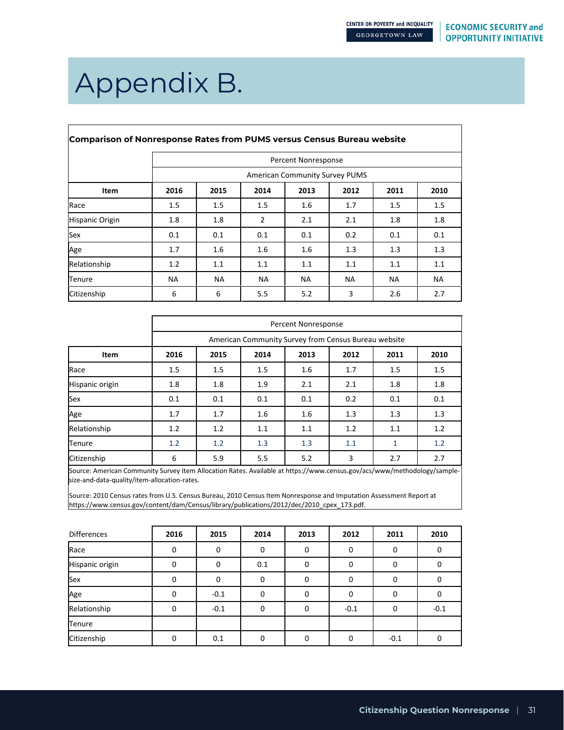٦

# Appendix B.

| <b>Comparison of Nonresponse Rates from PUMS versus Census Bureau website</b> |           |           |           |                                       |           |           |           |  |  |
|-------------------------------------------------------------------------------|-----------|-----------|-----------|---------------------------------------|-----------|-----------|-----------|--|--|
|                                                                               |           |           |           | Percent Nonresponse                   |           |           |           |  |  |
|                                                                               |           |           |           | <b>American Community Survey PUMS</b> |           |           |           |  |  |
| Item                                                                          | 2016      | 2015      | 2014      | 2013                                  | 2012      | 2011      | 2010      |  |  |
| Race                                                                          | 1.5       | 1.5       | 1.5       | 1.6                                   | 1.7       | 1.5       | 1.5       |  |  |
| Hispanic Origin                                                               | 1.8       | 1.8       | 2         | 2.1                                   | 2.1       | 1.8       | 1.8       |  |  |
| Sex                                                                           | 0.1       | 0.1       | 0.1       | 0.1                                   | 0.2       | 0.1       | 0.1       |  |  |
| Age                                                                           | 1.7       | 1.6       | 1.6       | 1.6                                   | 1.3       | 1.3       | 1.3       |  |  |
| Relationship                                                                  | 1.2       | 1.1       | 1.1       | 1.1                                   | 1.1       | 1.1       | 1.1       |  |  |
| Tenure                                                                        | <b>NA</b> | <b>NA</b> | <b>NA</b> | <b>NA</b>                             | <b>NA</b> | <b>NA</b> | <b>NA</b> |  |  |
| Citizenship                                                                   | 6         | 6         | 5.5       | 5.2                                   | 3         | 2.6       | 2.7       |  |  |

|                 | Percent Nonresponse |                                              |     |                                                      |     |     |     |  |  |
|-----------------|---------------------|----------------------------------------------|-----|------------------------------------------------------|-----|-----|-----|--|--|
|                 |                     |                                              |     | American Community Survey from Census Bureau website |     |     |     |  |  |
| Item            | 2016                | 2014<br>2011<br>2010<br>2015<br>2013<br>2012 |     |                                                      |     |     |     |  |  |
| Race            | 1.5                 | 1.5                                          | 1.5 | 1.6                                                  | 1.7 | 1.5 | 1.5 |  |  |
| Hispanic origin | 1.8                 | 1.8                                          | 1.9 | 2.1                                                  | 2.1 | 1.8 | 1.8 |  |  |
| Sex             | 0.1                 | 0.1                                          | 0.1 | 0.1                                                  | 0.2 | 0.1 | 0.1 |  |  |
| Age             | 1.7                 | 1.7                                          | 1.6 | 1.6                                                  | 1.3 | 1.3 | 1.3 |  |  |
| Relationship    | 1.2                 | 1.2                                          | 1.1 | 1.1                                                  | 1.2 | 1.1 | 1.2 |  |  |
| Tenure          | 1.2                 | 1.2                                          | 1.3 | 1.3                                                  | 1.1 | 1   | 1.2 |  |  |
| Citizenship     | 6                   | 5.9                                          | 5.5 | 5.2                                                  | 3   | 2.7 | 2.7 |  |  |

Source: American Community Survey Item Allocation Rates. Available at https://www.census.gov/acs/www/methodology/samplesize-and-data-quality/item-allocation-rates.

Source: 2010 Census rates from U.S. Census Bureau, 2010 Census Item Nonresponse and Imputation Assessment Report at https://www.census.gov/content/dam/Census/library/publications/2012/dec/2010\_cpex\_173.pdf.

| Differences     | 2016 | 2015   | 2014     | 2013     | 2012   | 2011   | 2010     |
|-----------------|------|--------|----------|----------|--------|--------|----------|
| Race            | 0    | 0      | 0        | $\Omega$ | 0      | 0      | $\Omega$ |
| Hispanic origin | 0    | 0      | 0.1      | 0        | 0      | 0      | 0        |
| Sex             | 0    | 0      | $\Omega$ | $\Omega$ | 0      | 0      | 0        |
| Age             | 0    | $-0.1$ | $\Omega$ | O        | 0      | 0      | 0        |
| Relationship    | 0    | $-0.1$ | $\Omega$ | $\Omega$ | $-0.1$ | 0      | $-0.1$   |
| Tenure          |      |        |          |          |        |        |          |
| Citizenship     | 0    | 0.1    | 0        | O        | 0      | $-0.1$ | 0        |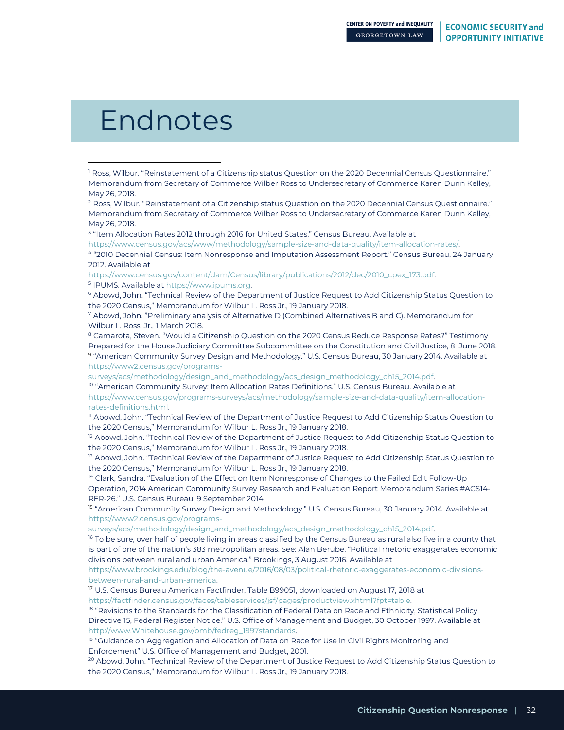# Endnotes

 $\overline{a}$ 

<sup>3</sup> "Item Allocation Rates 2012 through 2016 for United States." Census Bureau. Available at

[https://www.census.gov/acs/www/methodology/sample-size-and-data-quality/item-allocation-rates/.](https://www.census.gov/acs/www/methodology/sample-size-and-data-quality/item-allocation-rates/) 

<sup>4</sup> "2010 Decennial Census: Item Nonresponse and Imputation Assessment Report." Census Bureau, 24 January 2012. Available at

[https://www.census.gov/content/dam/Census/library/publications/2012/dec/2010\\_cpex\\_173.pdf.](https://www.census.gov/content/dam/Census/library/publications/2012/dec/2010_cpex_173.pdf) <sup>5</sup> IPUMS. Available a[t https://www.ipums.org.](https://www.ipums.org/)

<sup>6</sup> Abowd, John. "Technical Review of the Department of Justice Request to Add Citizenship Status Question to the 2020 Census," Memorandum for Wilbur L. Ross Jr., 19 January 2018.

<sup>7</sup> Abowd, John. "Preliminary analysis of Alternative D (Combined Alternatives B and C). Memorandum for Wilbur L. Ross, Jr., 1 March 2018.

<sup>8</sup> Camarota, Steven. "Would a Citizenship Question on the 2020 Census Reduce Response Rates?" Testimony Prepared for the House Judiciary Committee Subcommittee on the Constitution and Civil Justice, 8 June 2018. 9 "American Community Survey Design and Methodology." U.S. Census Bureau, 30 January 2014. Available at [https://www2.census.gov/programs-](https://www2.census.gov/programs-surveys/acs/methodology/design_and_methodology/acs_design_methodology_ch15_2014.pdf)

[surveys/acs/methodology/design\\_and\\_methodology/acs\\_design\\_methodology\\_ch15\\_2014.pdf.](https://www2.census.gov/programs-surveys/acs/methodology/design_and_methodology/acs_design_methodology_ch15_2014.pdf)

<sup>10</sup> "American Community Survey: Item Allocation Rates Definitions." U.S. Census Bureau. Available at [https://www.census.gov/programs-surveys/acs/methodology/sample-size-and-data-quality/item-allocation](https://www.census.gov/programs-surveys/acs/methodology/sample-size-and-data-quality/item-allocation-rates-definitions.html)[rates-definitions.html.](https://www.census.gov/programs-surveys/acs/methodology/sample-size-and-data-quality/item-allocation-rates-definitions.html)

<sup>11</sup> Abowd, John. "Technical Review of the Department of Justice Request to Add Citizenship Status Question to the 2020 Census," Memorandum for Wilbur L. Ross Jr., 19 January 2018.

 $12$  Abowd, John. "Technical Review of the Department of Justice Request to Add Citizenship Status Question to the 2020 Census," Memorandum for Wilbur L. Ross Jr., 19 January 2018.

<sup>13</sup> Abowd, John. "Technical Review of the Department of Justice Request to Add Citizenship Status Question to the 2020 Census," Memorandum for Wilbur L. Ross Jr., 19 January 2018.

<sup>14</sup> Clark, Sandra. "Evaluation of the Effect on Item Nonresponse of Changes to the Failed Edit Follow-Up Operation, 2014 American Community Survey Research and Evaluation Report Memorandum Series #ACS14- RER-26." U.S. Census Bureau, 9 September 2014.

<sup>15</sup> "American Community Survey Design and Methodology." U.S. Census Bureau, 30 January 2014. Available at [https://www2.census.gov/programs-](https://www2.census.gov/programs-surveys/acs/methodology/design_and_methodology/acs_design_methodology_ch15_2014.pdf)

[surveys/acs/methodology/design\\_and\\_methodology/acs\\_design\\_methodology\\_ch15\\_2014.pdf.](https://www2.census.gov/programs-surveys/acs/methodology/design_and_methodology/acs_design_methodology_ch15_2014.pdf)

<sup>16</sup> To be sure, over half of people living in areas classified by the Census Bureau as rural also live in a county that is part of one of the nation's 383 metropolitan areas. See: Alan Berube. "Political rhetoric exaggerates economic divisions between rural and urban America." Brookings, 3 August 2016. Available at

https://www.brookings.edu/blog/the-avenue/2016/08/03/political-rhetoric-exaggerates-economic-divisionsbetween-rural-and-urban-america.

<sup>17</sup> U.S. Census Bureau American Factfinder, Table B99051, downloaded on August 17, 2018 at

[https://factfinder.census.gov/faces/tableservices/jsf/pages/productview.xhtml?fpt=table.](https://factfinder.census.gov/faces/tableservices/jsf/pages/productview.xhtml?fpt=table)

<sup>18</sup> "Revisions to the Standards for the Classification of Federal Data on Race and Ethnicity, Statistical Policy Directive 15, Federal Register Notice." U.S. Office of Management and Budget, 30 October 1997. Available at [http://www.Whitehouse.gov/omb/fedreg\\_1997standards.](http://www.whitehouse.gov/omb/fedreg_1997standards)

<sup>19</sup> "Guidance on Aggregation and Allocation of Data on Race for Use in Civil Rights Monitoring and Enforcement" U.S. Office of Management and Budget, 2001.

 $^{20}$  Abowd, John. "Technical Review of the Department of Justice Request to Add Citizenship Status Question to the 2020 Census," Memorandum for Wilbur L. Ross Jr., 19 January 2018.

<sup>&</sup>lt;sup>1</sup> Ross, Wilbur. "Reinstatement of a Citizenship status Question on the 2020 Decennial Census Questionnaire." Memorandum from Secretary of Commerce Wilber Ross to Undersecretary of Commerce Karen Dunn Kelley, May 26, 2018.

 $2$  Ross, Wilbur. "Reinstatement of a Citizenship status Question on the 2020 Decennial Census Questionnaire." Memorandum from Secretary of Commerce Wilber Ross to Undersecretary of Commerce Karen Dunn Kelley, May 26, 2018.